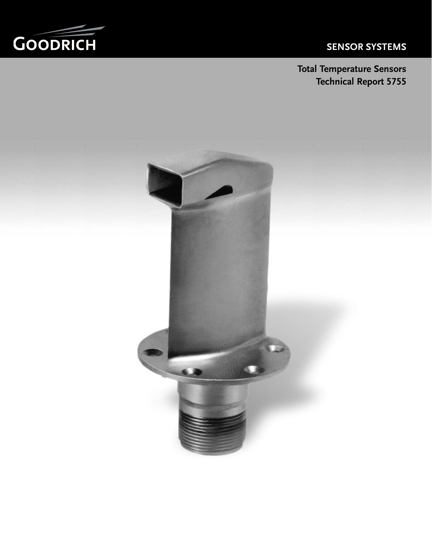# **SENSOR SYSTEMS**



**Total Temperature Sensors Technical Report 5755**

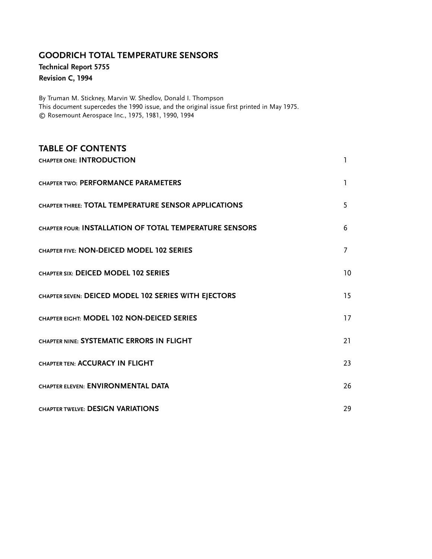# **GOODRICH TOTAL TEMPERATURE SENSORS**

**Technical Report 5755**

## **Revision C, 1994**

By Truman M. Stickney, Marvin W. Shedlov, Donald I. Thompson This document supercedes the 1990 issue, and the original issue first printed in May 1975. © Rosemount Aerospace Inc., 1975, 1981, 1990, 1994

| <b>TABLE OF CONTENTS</b>                                |                 |
|---------------------------------------------------------|-----------------|
| CHAPTER ONE: INTRODUCTION                               | 1               |
| CHAPTER TWO: PERFORMANCE PARAMETERS                     | ı               |
| CHAPTER THREE: TOTAL TEMPERATURE SENSOR APPLICATIONS    | 5               |
| CHAPTER FOUR: INSTALLATION OF TOTAL TEMPERATURE SENSORS | 6               |
| CHAPTER FIVE: NON-DEICED MODEL 102 SERIES               | 7               |
| CHAPTER SIX: DEICED MODEL 102 SERIES                    | 10 <sup>°</sup> |
| CHAPTER SEVEN: DEICED MODEL 102 SERIES WITH EJECTORS    | 15              |
| CHAPTER EIGHT: MODEL 102 NON-DEICED SERIES              | 17              |
| CHAPTER NINE: SYSTEMATIC ERRORS IN FLIGHT               | 21              |
| <b>CHAPTER TEN: ACCURACY IN FLIGHT</b>                  | 23              |
| CHAPTER ELEVEN: ENVIRONMENTAL DATA                      | 26              |
| CHAPTER TWELVE: DESIGN VARIATIONS                       | 29              |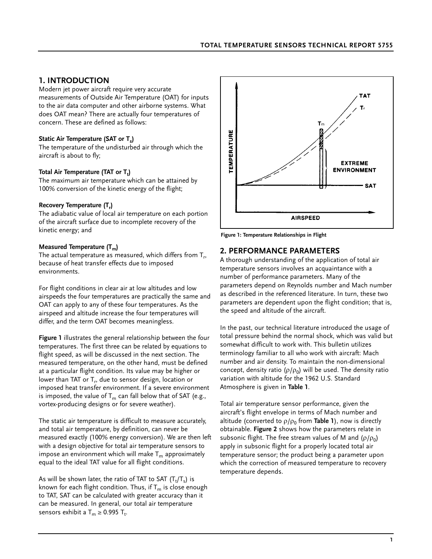### **1. INTRODUCTION**

Modern jet power aircraft require very accurate measurements of Outside Air Temperature (OAT) for inputs to the air data computer and other airborne systems. What does OAT mean? There are actually four temperatures of concern. These are defined as follows:

#### Static Air Temperature (SAT or T<sub>s</sub>)

The temperature of the undisturbed air through which the aircraft is about to fly;

### Total Air Temperature (TAT or T<sub>t</sub>)

The maximum air temperature which can be attained by 100% conversion of the kinetic energy of the flight;

#### **Recovery Temperature (T<sub>r</sub>)**

The adiabatic value of local air temperature on each portion of the aircraft surface due to incomplete recovery of the kinetic energy; and

#### **Measured Temperature (T<sub>m</sub>)**

The actual temperature as measured, which differs from  $T_r$ , because of heat transfer effects due to imposed environments.

For flight conditions in clear air at low altitudes and low airspeeds the four temperatures are practically the same and OAT can apply to any of these four temperatures. As the airspeed and altitude increase the four temperatures will differ, and the term OAT becomes meaningless.

**Figure 1** illustrates the general relationship between the four temperatures. The first three can be related by equations to flight speed, as will be discussed in the next section. The measured temperature, on the other hand, must be defined at a particular flight condition. Its value may be higher or lower than TAT or  $T_r$ , due to sensor design, location or imposed heat transfer environment. If a severe environment is imposed, the value of  $T_m$  can fall below that of SAT (e.g., vortex-producing designs or for severe weather).

The static air temperature is difficult to measure accurately, and total air temperature, by definition, can never be measured exactly (100% energy conversion). We are then left with a design objective for total air temperature sensors to impose an environment which will make  $T_m$  approximately equal to the ideal TAT value for all flight conditions.

As will be shown later, the ratio of TAT to SAT  $({\sf T_t}/{\sf T_s})$  is known for each flight condition. Thus, if  $T_m$  is close enough to TAT, SAT can be calculated with greater accuracy than it can be measured. In general, our total air temperature sensors exhibit a  $T_m \ge 0.995$   $T_t$ .



**Figure 1: Temperature Relationships in Flight**

### **2. PERFORMANCE PARAMETERS**

A thorough understanding of the application of total air temperature sensors involves an acquaintance with a number of performance parameters. Many of the parameters depend on Reynolds number and Mach number as described in the referenced literature. In turn, these two parameters are dependent upon the flight condition; that is, the speed and altitude of the aircraft.

In the past, our technical literature introduced the usage of total pressure behind the normal shock, which was valid but somewhat difficult to work with. This bulletin utilizes terminology familiar to all who work with aircraft: Mach number and air density. To maintain the non-dimensional concept, density ratio ( $\rho/\rho_0$ ) will be used. The density ratio variation with altitude for the 1962 U.S. Standard Atmosphere is given in **Table 1**.

Total air temperature sensor performance, given the aircraft's flight envelope in terms of Mach number and altitude (converted to  $\rho/\rho_0$  from Table 1), now is directly obtainable. **Figure 2** shows how the parameters relate in subsonic flight. The free stream values of M and ( $\rho/\rho_0$ ) apply in subsonic flight for a properly located total air temperature sensor; the product being a parameter upon which the correction of measured temperature to recovery temperature depends.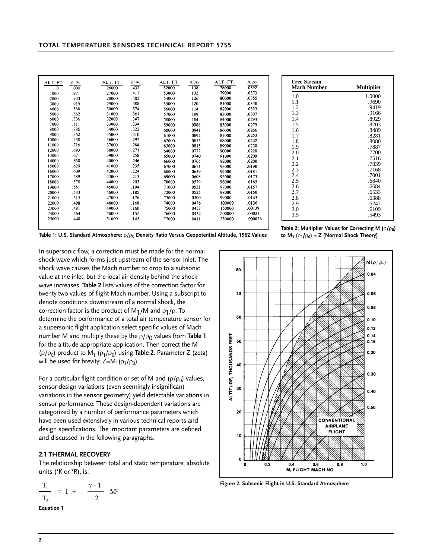|          |                 |                   |                       |                   |                       | ALT. FT. | $\rho/\rho_0$ |
|----------|-----------------|-------------------|-----------------------|-------------------|-----------------------|----------|---------------|
| ALT. FT  | $\rho$ $\rho_0$ | ALT. FT.<br>26000 | $\rho/\rho_0$<br>.433 | ALT. FT.<br>52000 | $\rho/\rho_0$<br>.138 | 78000    | .0392         |
| $\bf{0}$ | 1.000           |                   |                       | 53000             | .132                  | 79000    | .0373         |
| 1000     | .971            | 27000             | .417                  |                   |                       |          |               |
| 2000     | .943            | 28000             | .402                  | 54000             | .126                  | 80000    | .0355         |
| 3000     | .915            | 29000             | .388                  | 55000             | .120                  | 81000    | .0338         |
| 4000     | .888            | 30000             | .374                  | 56000             | .114                  | 82000    | .0323         |
| 5000     | .862            | 31000             | .361                  | 57000             | .109                  | 83000    | .0307         |
| 6000     | .836            | 32000             | .347                  | 58000             | .104                  | 84000    | .0293         |
| 7000     | .811            | 33000             | .334                  | 59000             | .0988                 | 85000    | .0279         |
| 8000     | .786            | 34000             | .322                  | 60000             | .0941                 | 86000    | .0266         |
| 9000     | .762            | 35000             | .310                  | 61000             | .0897                 | 87000    | .0253         |
| 10000    | .738            | 36000             | .297                  | 62000             | .0855                 | 88000    | .0242         |
| 11000    | .716            | 37000             | .284                  | 63000             | .0815                 | 89000    | .0230         |
| 12000    | .693            | 38000             | .271                  | 64000             | .0777                 | 90000    | .0220         |
| 13000    | .671            | 39000             | .258                  | 65000             | .0740                 | 91000    | .0209         |
| 14000    | .650            | 40000             | .246                  | 66000             | .0705                 | 92000    | .0200         |
| 15000    | .629            | 41000             | .235                  | 67000             | .0671                 | 93000    | .0190         |
| 16000    | .609            | 42000             | .224                  | 68000             | .0639                 | 94000    | .0181         |
| 17000    | .589            | 43000             | .213                  | 69000             | .0608                 | 95000    | .0173         |
| 18000    | .570            | 44000             | .203                  | 70000             | .0579                 | 96000    | .0165         |
| 19000    | .551            | 45000             | .194                  | 71000             | .0551                 | 97000    | .0157         |
| 20000    | .533            | 46000             | .185                  | 72000             | .0525                 | 98000    | .0150         |
| 21000    | .515            | 47000             | .176                  | 73000             | .0500                 | 99000    | .0143         |
| 22000    | .498            | 48000             | .168                  | 74000             | .0476                 | 100000   | .0136         |
| 23000    | .481            | 49000             | .160                  | 75000             | .0453                 | 150000   | .00139        |
| 24000    | .464            | 50000             | .152                  | 76000             | .0432                 | 200000   | .00021        |
| 25000    | .448            | 51000             | .145                  | 77000             | .0411                 | 250000   | .000026       |
|          |                 |                   |                       |                   |                       |          |               |

| <b>Free Stream</b><br><b>Mach Number</b> | <b>Multiplier</b> |
|------------------------------------------|-------------------|
| 1.0                                      | 1.0000            |
| 1.1                                      | .9690             |
| 1.2                                      | .9419             |
| 1.3                                      | .9166             |
| 1.4                                      | .8929             |
| 1.5                                      | .8703             |
| 1.6                                      | .8489             |
| 1.7                                      | .8281             |
| 1.8                                      | .8080             |
| 1.9                                      | .7887             |
| 2.0                                      | .7700             |
| 2.1                                      | .7516             |
| 2.2                                      | .7339             |
| 2.3                                      | .7168             |
| 2.4                                      | .7001             |
| 2.5                                      | .6840             |
| 2.6                                      | .6684             |
| 2.7                                      | .6533             |
| 2.8                                      | .6388             |
| 2.9                                      | .6247             |
| 3.0                                      | .6109             |
| 3.5                                      | .5493             |

**Table 1: U.S. Standard Atmosphere:**  $ρ/ρ_0$  Density Ratio Versus Geopotential Altitude, 1962 Values

**Table 2: Multiplier Values for Correcting M (** $\rho$ **/** $\rho$ **<sub>0</sub>) to M1 (**ρ**1/**ρ**0) = Z (Normal Shock Theory)**

In supersonic flow, a correction must be made for the normal shock wave which forms just upstream of the sensor inlet. The shock wave causes the Mach number to drop to a subsonic value at the inlet, but the local air density behind the shock wave increases. **Table 2** lists values of the correction factor for twenty-two values of flight Mach number. Using a subscript to denote conditions downstream of a normal shock, the correction factor is the product of  $M_1/M$  and  $\rho_1/\rho$ . To determine the performance of a total air temperature sensor for a supersonic flight application select specific values of Mach number M and multiply these by the *p*/*p*<sup>0</sup> values from **Table 1** for the altitude appropriate application. Then correct the M ( $\rho/\rho_0$ ) product to M<sub>1</sub> ( $\rho_1/\rho_0$ ) using **Table 2**. Parameter Z (zeta) will be used for brevity:  $Z=M_1(\rho_1/\rho_0)$ .

For a particular flight condition or set of M and ( $\rho/\rho_0$ ) values, sensor design variations (even seemingly insignificant variations in the sensor geometry) yield detectable variations in sensor performance. These design-dependent variations are categorized by a number of performance parameters which have been used extensively in various technical reports and design specifications. The important parameters are defined and discussed in the following paragraphs.

#### **2.1 THERMAL RECOVERY**

The relationship between total and static temperature, absolute units (°K or °R), is:

$$
\frac{T_t}{T_s} = 1 + \frac{\gamma - 1}{2} M^2
$$

**Equation 1**



**Figure 2: Subsonic Flight in U.S. Standard Atmosphere**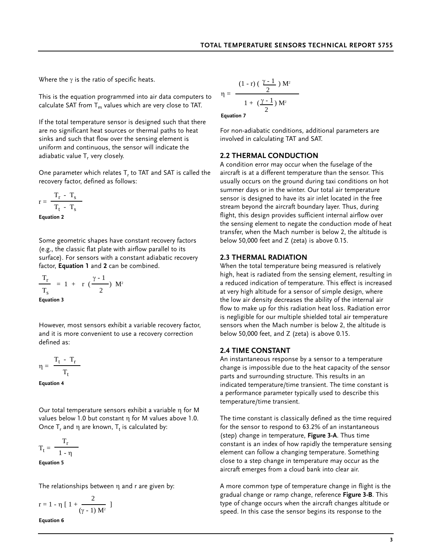Where the  $\gamma$  is the ratio of specific heats.

This is the equation programmed into air data computers to calculate SAT from  $T_m$  values which are very close to TAT.

If the total temperature sensor is designed such that there are no significant heat sources or thermal paths to heat sinks and such that flow over the sensing element is uniform and continuous, the sensor will indicate the adiabatic value T, very closely.

One parameter which relates T, to TAT and SAT is called the recovery factor, defined as follows:

$$
r = \frac{T_r - T_s}{T_t - T_s}
$$

**Equation 2**

Some geometric shapes have constant recovery factors (e.g., the classic flat plate with airflow parallel to its surface). For sensors with a constant adiabatic recovery factor, **Equation 1** and **2** can be combined.

$$
\frac{T_r}{T_s} = 1 + r \left(\frac{\gamma - 1}{2}\right) M^2
$$
  
Equation 3

However, most sensors exhibit a variable recovery factor, and it is more convenient to use a recovery correction defined as:

$$
\eta = \frac{T_t - T_r}{T_t}
$$

**Equation 4**

Our total temperature sensors exhibit a variable η for M values below 1.0 but constant η for M values above 1.0. Once  $T_r$  and  $η$  are known,  $T_t$  is calculated by:

$$
T_t = \frac{T_r}{1 - \eta}
$$

**Equation 5**

The relationships between η and r are given by:

$$
r = 1 - \eta \left[ 1 + \frac{2}{(\gamma - 1) M^2} \right]
$$

**Equation 6**

$$
\eta=\,\frac{(1-r)\left(\begin{array}{c}\frac{\gamma-1}{2}\end{array}\right)M^2}{1+\left(\frac{\gamma-1}{2}\right)M^2}
$$

**Equation 7**

For non-adiabatic conditions, additional parameters are involved in calculating TAT and SAT.

#### **2.2 THERMAL CONDUCTION**

A condition error may occur when the fuselage of the aircraft is at a different temperature than the sensor. This usually occurs on the ground during taxi conditions on hot summer days or in the winter. Our total air temperature sensor is designed to have its air inlet located in the free stream beyond the aircraft boundary layer. Thus, during flight, this design provides sufficient internal airflow over the sensing element to negate the conduction mode of heat transfer, when the Mach number is below 2, the altitude is below 50,000 feet and Z (zeta) is above 0.15.

#### **2.3 THERMAL RADIATION**

When the total temperature being measured is relatively high, heat is radiated from the sensing element, resulting in a reduced indication of temperature. This effect is increased at very high altitude for a sensor of simple design, where the low air density decreases the ability of the internal air flow to make up for this radiation heat loss. Radiation error is negligible for our multiple shielded total air temperature sensors when the Mach number is below 2, the altitude is below 50,000 feet, and Z (zeta) is above 0.15.

#### **2.4 TIME CONSTANT**

An instantaneous response by a sensor to a temperature change is impossible due to the heat capacity of the sensor parts and surrounding structure. This results in an indicated temperature/time transient. The time constant is a performance parameter typically used to describe this temperature/time transient.

The time constant is classically defined as the time required for the sensor to respond to 63.2% of an instantaneous (step) change in temperature, **Figure 3-A**. Thus time constant is an index of how rapidly the temperature sensing element can follow a changing temperature. Something close to a step change in temperature may occur as the aircraft emerges from a cloud bank into clear air.

A more common type of temperature change in flight is the gradual change or ramp change, reference **Figure 3-B**. This type of change occurs when the aircraft changes altitude or speed. In this case the sensor begins its response to the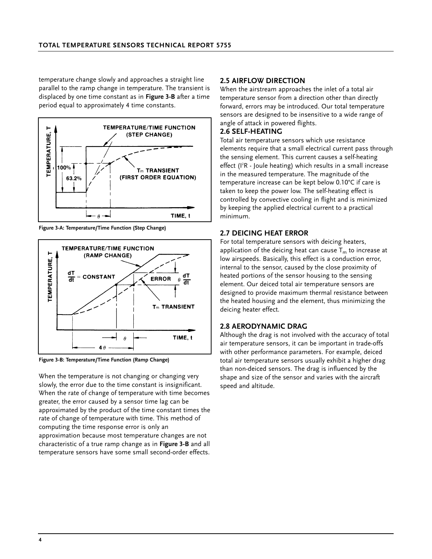temperature change slowly and approaches a straight line parallel to the ramp change in temperature. The transient is displaced by one time constant as in **Figure 3-B** after a time period equal to approximately 4 time constants.



**Figure 3-A: Temperature/Time Function (Step Change)**



**Figure 3-B: Temperature/Time Function (Ramp Change)**

When the temperature is not changing or changing very slowly, the error due to the time constant is insignificant. When the rate of change of temperature with time becomes greater, the error caused by a sensor time lag can be approximated by the product of the time constant times the rate of change of temperature with time. This method of computing the time response error is only an approximation because most temperature changes are not characteristic of a true ramp change as in **Figure 3-B** and all temperature sensors have some small second-order effects.

#### **2.5 AIRFLOW DIRECTION**

When the airstream approaches the inlet of a total air temperature sensor from a direction other than directly forward, errors may be introduced. Our total temperature sensors are designed to be insensitive to a wide range of angle of attack in powered flights.

#### **2.6 SELF-HEATING**

Total air temperature sensors which use resistance elements require that a small electrical current pass through the sensing element. This current causes a self-heating effect (I'R - Joule heating) which results in a small increase in the measured temperature. The magnitude of the temperature increase can be kept below 0.10°C if care is taken to keep the power low. The self-heating effect is controlled by convective cooling in flight and is minimized by keeping the applied electrical current to a practical minimum.

### **2.7 DEICING HEAT ERROR**

For total temperature sensors with deicing heaters, application of the deicing heat can cause  $T_m$  to increase at low airspeeds. Basically, this effect is a conduction error, internal to the sensor, caused by the close proximity of heated portions of the sensor housing to the sensing element. Our deiced total air temperature sensors are designed to provide maximum thermal resistance between the heated housing and the element, thus minimizing the deicing heater effect.

### **2.8 AERODYNAMIC DRAG**

Although the drag is not involved with the accuracy of total air temperature sensors, it can be important in trade-offs with other performance parameters. For example, deiced total air temperature sensors usually exhibit a higher drag than non-deiced sensors. The drag is influenced by the shape and size of the sensor and varies with the aircraft speed and altitude.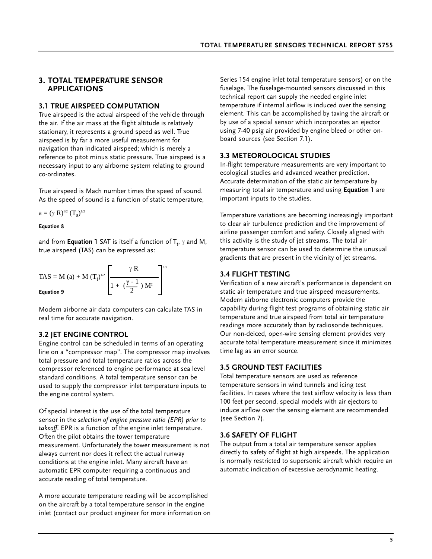### **3. TOTAL TEMPERATURE SENSOR APPLICATIONS**

### **3.1 TRUE AIRSPEED COMPUTATION**

True airspeed is the actual airspeed of the vehicle through the air. If the air mass at the flight altitude is relatively stationary, it represents a ground speed as well. True airspeed is by far a more useful measurement for navigation than indicated airspeed; which is merely a reference to pitot minus static pressure. True airspeed is a necessary input to any airborne system relating to ground co-ordinates.

True airspeed is Mach number times the speed of sound. As the speed of sound is a function of static temperature,

$$
a=(\gamma\,\,R)^{_{1/2}}\; (T_s)^{_{1/2}}
$$

#### **Equation 8**

and from **Equation 1** SAT is itself a function of  $T_t$ ,  $\gamma$  and M, true airspeed (TAS) can be expressed as:

TAS = M (a) + M 
$$
(T_t)^{1/2}
$$
  $\left[\frac{\gamma R}{1 + (\frac{\gamma - 1}{2}) M^2}\right]^{1/2}$   
Equation 9

Modern airborne air data computers can calculate TAS in real time for accurate navigation.

### **3.2 JET ENGINE CONTROL**

Engine control can be scheduled in terms of an operating line on a "compressor map". The compressor map involves total pressure and total temperature ratios across the compressor referenced to engine performance at sea level standard conditions. A total temperature sensor can be used to supply the compressor inlet temperature inputs to the engine control system.

Of special interest is the use of the total temperature sensor in the *selection of engine pressure ratio (EPR) prior to takeoff*. EPR is a function of the engine inlet temperature. Often the pilot obtains the tower temperature measurement. Unfortunately the tower measurement is not always current nor does it reflect the actual runway conditions at the engine inlet. Many aircraft have an automatic EPR computer requiring a continuous and accurate reading of total temperature.

A more accurate temperature reading will be accomplished on the aircraft by a total temperature sensor in the engine inlet (contact our product engineer for more information on Series 154 engine inlet total temperature sensors) or on the fuselage. The fuselage-mounted sensors discussed in this technical report can supply the needed engine inlet temperature if internal airflow is induced over the sensing element. This can be accomplished by taxing the aircraft or by use of a special sensor which incorporates an ejector using 7-40 psig air provided by engine bleed or other onboard sources (see Section 7.1).

### **3.3 METEOROLOGICAL STUDIES**

In-flight temperature measurements are very important to ecological studies and advanced weather prediction. Accurate determination of the static air temperature by measuring total air temperature and using **Equation 1** are important inputs to the studies.

Temperature variations are becoming increasingly important to clear air turbulence prediction and the improvement of airline passenger comfort and safety. Closely aligned with this activity is the study of jet streams. The total air temperature sensor can be used to determine the unusual gradients that are present in the vicinity of jet streams.

### **3.4 FLIGHT TESTING**

Verification of a new aircraft's performance is dependent on static air temperature and true airspeed measurements. Modern airborne electronic computers provide the capability during flight test programs of obtaining static air temperature and true airspeed from total air temperature readings more accurately than by radiosonde techniques. Our non-deiced, open-wire sensing element provides very accurate total temperature measurement since it minimizes time lag as an error source.

### **3.5 GROUND TEST FACILITIES**

Total temperature sensors are used as reference temperature sensors in wind tunnels and icing test facilities. In cases where the test airflow velocity is less than 100 feet per second, special models with air ejectors to induce airflow over the sensing element are recommended (see Section 7).

### **3.6 SAFETY OF FLIGHT**

The output from a total air temperature sensor applies directly to safety of flight at high airspeeds. The application is normally restricted to supersonic aircraft which require an automatic indication of excessive aerodynamic heating.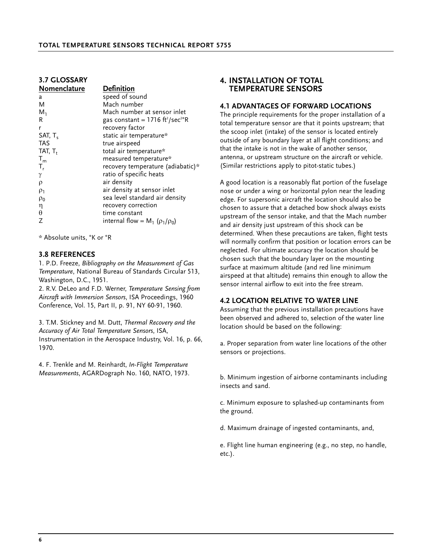| <b>3.7 GLOSSARY</b> |                                                         |
|---------------------|---------------------------------------------------------|
| Nomenclature        | <b>Definition</b>                                       |
| a                   | speed of sound                                          |
| M                   | Mach number                                             |
| $M_1$               | Mach number at sensor inlet                             |
| R                   | gas constant = $1716 \text{ ft}^2/\text{sec}^2\text{R}$ |
| r                   | recovery factor                                         |
| SAT, $T_{s}$        | static air temperature*                                 |
| TAS                 | true airspeed                                           |
| TAT, T <sub>+</sub> | total air temperature*                                  |
| $T_m$               | measured temperature*                                   |
| $T_{r}$             | recovery temperature (adiabatic)*                       |
| γ                   | ratio of specific heats                                 |
| ρ                   | air density                                             |
| $\rho_1$            | air density at sensor inlet                             |
| $\rho_0$            | sea level standard air density                          |
| η                   | recovery correction                                     |
| θ                   | time constant                                           |
|                     | internal flow = $M_1$ ( $\rho_1/\rho_0$ )               |
|                     |                                                         |

\* Absolute units, °K or °R

#### **3.8 REFERENCES**

1. P.D. Freeze, *Bibliography on the Measurement of Gas Temperature*, National Bureau of Standards Circular 513, Washington, D.C., 1951.

2. R.V. DeLeo and F.D. Werner, *Temperature Sensing from Aircraft with Immersion Sensors*, ISA Proceedings, 1960 Conference, Vol. 15, Part II, p. 91, NY 60-91, 1960.

3. T.M. Stickney and M. Dutt, *Thermal Recovery and the Accuracy of Air Total Temperature Sensors*, ISA, Instrumentation in the Aerospace Industry, Vol. 16, p. 66, 1970.

4. F. Trenkle and M. Reinhardt, *In-Flight Temperature Measurements*, AGARDograph No. 160, NATO, 1973.

### **4. INSTALLATION OF TOTAL TEMPERATURE SENSORS**

#### **4.1 ADVANTAGES OF FORWARD LOCATIONS**

The principle requirements for the proper installation of a total temperature sensor are that it points upstream; that the scoop inlet (intake) of the sensor is located entirely outside of any boundary layer at all flight conditions; and that the intake is not in the wake of another sensor, antenna, or upstream structure on the aircraft or vehicle. (Similar restrictions apply to pitot-static tubes.)

A good location is a reasonably flat portion of the fuselage nose or under a wing or horizontal pylon near the leading edge. For supersonic aircraft the location should also be chosen to assure that a detached bow shock always exists upstream of the sensor intake, and that the Mach number and air density just upstream of this shock can be determined. When these precautions are taken, flight tests will normally confirm that position or location errors can be neglected. For ultimate accuracy the location should be chosen such that the boundary layer on the mounting surface at maximum altitude (and red line minimum airspeed at that altitude) remains thin enough to allow the sensor internal airflow to exit into the free stream.

#### **4.2 LOCATION RELATIVE TO WATER LINE**

Assuming that the previous installation precautions have been observed and adhered to, selection of the water line location should be based on the following:

a. Proper separation from water line locations of the other sensors or projections.

b. Minimum ingestion of airborne contaminants including insects and sand.

c. Minimum exposure to splashed-up contaminants from the ground.

d. Maximum drainage of ingested contaminants, and,

e. Flight line human engineering (e.g., no step, no handle, etc.).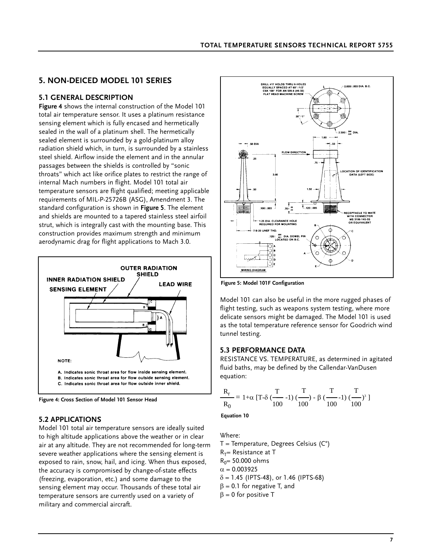# **5. NON-DEICED MODEL 101 SERIES**

### **5.1 GENERAL DESCRIPTION**

**Figure 4** shows the internal construction of the Model 101 total air temperature sensor. It uses a platinum resistance sensing element which is fully encased and hermetically sealed in the wall of a platinum shell. The hermetically sealed element is surrounded by a gold-platinum alloy radiation shield which, in turn, is surrounded by a stainless steel shield. Airflow inside the element and in the annular passages between the shields is controlled by "sonic throats" which act like orifice plates to restrict the range of internal Mach numbers in flight. Model 101 total air temperature sensors are flight qualified; meeting applicable requirements of MIL-P-25726B (ASG), Amendment 3. The standard configuration is shown in **Figure 5**. The element and shields are mounted to a tapered stainless steel airfoil strut, which is integrally cast with the mounting base. This construction provides maximum strength and minimum aerodynamic drag for flight applications to Mach 3.0.





### **5.2 APPLICATIONS**

Model 101 total air temperature sensors are ideally suited to high altitude applications above the weather or in clear air at any altitude. They are not recommended for long-term severe weather applications where the sensing element is exposed to rain, snow, hail, and icing. When thus exposed, the accuracy is compromised by change-of-state effects (freezing, evaporation, etc.) and some damage to the sensing element may occur. Thousands of these total air temperature sensors are currently used on a variety of military and commercial aircraft.



**Figure 5: Model 101F Configuration**

Model 101 can also be useful in the more rugged phases of flight testing, such as weapons system testing, where more delicate sensors might be damaged. The Model 101 is used as the total temperature reference sensor for Goodrich wind tunnel testing.

#### **5.3 PERFORMANCE DATA**

RESISTANCE VS. TEMPERATURE, as determined in agitated fluid baths, may be defined by the Callendar-VanDusen equation:

$$
\frac{R_r}{R_0} = 1 + \alpha \left[ T - \delta \left( \frac{T}{100} - 1 \right) \left( \frac{T}{100} \right) - \beta \left( \frac{T}{100} - 1 \right) \left( \frac{T}{100} \right)^3 \right]
$$

**Equation 10**

Where:

 $T$  = Temperature, Degrees Celsius ( $C^{\circ}$ )  $R_T$ = Resistance at T  $R_0$ = 50.000 ohms  $α = 0.003925$  $\delta$  = 1.45 (IPTS-48), or 1.46 (IPTS-68)  $\beta$  = 0.1 for negative T, and  $β = 0$  for positive T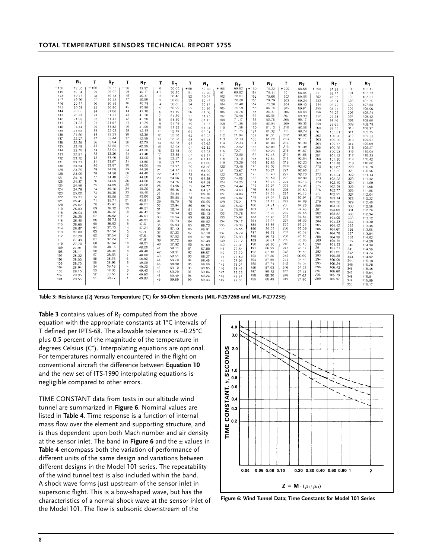| Т      | $R_T$ | т      | $R_T$ | т              | Rт    | т                | Rт    | т     | $R_T$ | т      | $R_T$ | т      | $R_T$ | т      | R۳    | т      | $R_{T}$          | т          | $R_{T}$          |
|--------|-------|--------|-------|----------------|-------|------------------|-------|-------|-------|--------|-------|--------|-------|--------|-------|--------|------------------|------------|------------------|
| $-150$ | 19.33 | $-100$ | 29.77 | $-50$          | 39.97 | $\circ$          | 50.00 | $+50$ | 59.88 | $+100$ | 69.62 | $+150$ | 79.22 | $+200$ | 88.68 | $+250$ |                  | $+300$     | 107 15           |
| 149    | 19.54 | 99     | 29.97 | 49             | 40.17 | $+1$             | 50.20 | 51    | 60.08 | 101    | 69.82 | 151    | 79.41 | 201    | 88.86 | 251    | 97.98<br>98.17   | 301        | 107.33           |
| 148    | 19.75 | 98     | 30.18 | 48             | 40.37 | $\overline{c}$   | 50.40 | 52    | 60.28 | 102    | 70.01 | 152    | 79.60 | 202    | 89.05 | 252    | 98.35            | 302        | 107.51           |
| 147    | 19.96 | 97     | 30.38 | 47             | 40.58 | 3                | 50.60 | 53    | 60.47 | 103    | 70.20 | 153    | 79.79 | 203    | 89.24 | 253    | 98.54            | 303        | 107.70           |
| 146    | 20.17 | 96     | 30.59 | 46             | 40.78 | $\boldsymbol{4}$ | 50.80 | 54    | 60.67 | 104    | 70.40 | 154    | 79.98 | 204    | 89.43 | 254    | 98.72            | 304        | 107.88           |
| 145    | 20.39 | 95     | 30.80 | 45             | 40.98 | 5                | 50.99 | 55    | 60.86 | 105    | 70.59 | 155    | 80.18 | 205    | 89.61 | 255    | 98.91            | 305        | 108.06           |
| 144    | 20.60 | 94     | 31.00 | 44             | 41.18 | 6                | 51.19 | 56    | 61.06 | 106    | 70.78 | 156    | 80.37 | 206    | 89.80 | 256    | 99.09            | 306        | 108.24           |
| 143    | 20.81 | 93     | 31.21 | 43             | 41.38 | 7                | 51.39 | 57    | 61.25 | 107    | 70.98 | 157    | 80.56 | 207    | 89.99 | 257    | 99.28            | 307        | 108.42           |
| 142    | 21.02 | 92     | 31.41 | 42             | 41.58 | 8                | 51.59 | 58    | 61.45 | 108    | 71.17 | 158    | 80.75 | 208    | 90.17 | 258    | 99.46            | 308        | 108.60           |
| 141    | 21.23 | 91     | 31.62 | 41             | 41.79 | $\mathbf{9}$     | 51.79 | 59    | 61.65 | 109    | 71.36 | 159    | 80.94 | 209    | 90.36 | 259    | 99.65            | 309        | 108.79           |
| 140    | 21.44 | 90     | 31.82 | 40             | 41.99 | 10               | 51.99 | 60    | 61.84 | 110    | 71.56 | 160    | 81.13 | 210    | 90.55 | 260    | 99.83            | 310        | 108.97           |
| 139    | 21.65 | 89     | 32.03 | 39             | 42.19 | 11               | 52.19 | 61    | 62.04 | 111    | 71.75 | 161    | 81.32 | 211    | 90.74 | 261    |                  | 311        | 109.15           |
| 138    | 21.86 | 88     | 32.23 | 38             | 42.39 | 12               | 52.38 | 62    | 62.23 | 112    | 71.94 | 162    | 81.51 | 212    | 90.92 | 262    | 100.01<br>100.20 | 312        | 109.33           |
| 137    | 22.07 | 87     | 32.44 | 37             | 42.59 | 13               | 52.58 | 63    | 62.43 | 113    | 72.13 | 163    | 81.70 | 213    | 91.11 | 263    |                  | 313        | 109.51           |
| 136    | 22.28 | 86     | 32.64 | 36             | 42.79 | 14               | 52.78 | 64    | 62.62 | 114    | 72.33 | 164    | 81.89 | 214    | 91.30 | 264    | 100.38<br>100.57 | 314        | 109.69           |
| 135    | 22.49 | 85     | 32.85 | 35             | 42.99 | 15               | 52.98 | 65    | 62.82 | 115    | 72.52 | 165    | 82.08 | 215    | 91.48 | 265    | 100.75           | 315        | 109.87           |
| 134    | 22.70 | 84     | 33.05 | 34             | 43.20 | 16               | 53.18 | 66    | 63.02 | 116    | 72.71 | 166    | 82.26 | 216    | 91.67 | 266    | 100.93           | 316        | 110.05           |
| 133    | 22.91 | 83     | 33.26 | 33             | 43.40 | 17               | 53.38 | 67    | 63.21 | 117    | 72.90 | 167    | 82.45 | 217    | 91.86 | 267    | 101.12           | 317        | 110.23           |
| 132    | 23.12 | 82     | 33.46 | 32             | 43.60 | 18               | 53.57 | 68    | 63.41 | 118    | 73.10 | 168    | 82.64 | 218    | 92.04 | 268    | 101.30           | 318        | 110.42           |
| 131    | 23.33 | 81     | 33.67 | 31             | 43.80 | 19               | 53.77 | 69    | 63.60 | 119    | 73.29 | 169    | 82.83 | 219    | 92.23 | 269    | 101.48           | 319        | 110,60           |
| 130    | 23.54 | 80     | 33.87 | 30             | 44.00 | 20               | 53.97 | 70    | 63.80 | 120    | 73.48 | 170    | 83.02 | 220    | 92.42 | 270    | 101.67           | 320        | 110.78           |
| 129    | 23.75 | 79     | 34.08 | 29             | 44.20 | 21               | 54.17 | 71    | 63.99 | 121    | 73.67 | 171    | 83.21 | 221    | 92.60 | 271    |                  | 321        | 110.96           |
| 128    | 23.95 | 78     | 34.28 | 28             | 44.40 | 22               | 54.37 | 72    | 64.19 | 122    | 73.87 | 172    | 83.40 | 222    | 92.79 | 272    | 101.85<br>102.04 | 322        | 111.14           |
| 127    | 24.16 | 77     | 34.48 | 27             | 44.60 | 23               | 54.56 | 73    | 64.38 | 123    | 74.06 | 173    | 83.59 | 223    | 92.98 | 273    |                  | 323        |                  |
| 126    | 24.37 | 76     | 34.69 | 26             | 44.80 | 24               | 54.76 | 74    | 64.58 | 124    | 74.25 | 174    | 83.78 | 224    | 93.16 | 274    | 102.22<br>102.40 | 324        | 111.32           |
| 125    | 24.58 | 75     | 34.89 | 25             | 45.00 | 25               | 54.96 | 75    | 64.77 | 125    | 74.44 | 175    | 83.97 | 225    | 93.35 | 275    | 102.59           | 325        | 111.50           |
| 124    | 24.79 | 74     | 35.10 | 24             | 45.20 | 26               | 55.16 | 76    | 64.97 | 126    | 74.63 | 176    | 84.16 | 226    | 93.53 | 276    | 102.77           | 326        | 111,68           |
| 123    | 25.00 | 73     | 35.30 | 23             | 45.40 | 27               | 55.35 | 77    | 65.16 | 127    | 74.83 | 177    | 84.35 | 227    | 93.72 | 277    | 102.95           | 327        | 111.86           |
| 122    | 25.21 | 72     | 35.50 | 22             | 45.60 | 28               | 55.55 | 78    | 65.36 | 128    | 75.02 | 178    | 84.54 | 228    | 93.91 | 278    | 103.14           |            | 112.04           |
| 121    | 25.41 | 71     | 35.71 | 21             | 45.81 | 29               | 55.75 | 79    | 65.55 | 129    | 75.21 | 179    | 84.73 | 229    | 94.09 | 279    | 103.32           | 328        | 112.22           |
| 120    | 25.62 | 70     | 35.91 | 20             | 46.01 | 30               | 55.94 | 80    | 65.74 | 130    | 75.40 | 180    | 84.91 | 230    | 94.28 | 280    | 103.50           | 329<br>330 | 112.40           |
| 119    | 25.83 | 69     | 36.12 | 19             | 46.21 | 31               | 56.14 | 81    | 65.94 | 131    | 75.59 | 181    | 85.10 | 231    | 94.46 | 281    | 103.68           | 331        | 112.58           |
| 118    | 26.04 | 68     | 36.32 | 18             | 46.41 | 32               | 56.34 | 82    | 66.13 | 132    | 75.78 | 182    | 85.29 | 232    | 94.65 | 282    | 103.87           | 332        | 112.76<br>112.94 |
| 117    | 26.25 | 67     | 36.52 | 17             | 46.61 | 33               | 56.54 | 83    | 66.33 | 133    | 75.97 | 183    | 85.48 | 233    | 94.84 | 283    | 104.05           | 333        |                  |
| 116    | 26.45 | 66     | 36.73 | 16             | 46.81 | 34               | 56.74 | 84    | 66.52 | 134    | 76.17 | 184    | 85.67 | 234    | 95.02 | 284    | 104.23           | 334        | 113.12<br>113.30 |
| 115    | 26.66 | 65     | 36.93 | 15             | 47.01 | 35               | 56.93 | 85    | 66.72 | 135    | 76.36 | 185    | 85.86 | 235    | 95.21 | 285    | 104.42           | 335        | 113.48           |
| 114    | 26.87 | 64     | 37.13 | 14             | 47.21 | 36               | 57.13 | 86    | 66.91 | 136    | 76.55 | 186    | 86.05 | 236    | 95.39 | 286    | 104.60           | 336        | 113.66           |
| 113    | 27.08 | 63     | 37.34 | 13             | 47.41 | 37               | 57.33 | 87    | 67.10 | 137    | 76.74 | 187    | 86.23 | 237    | 95.58 | 287    | 104.78           | 337        |                  |
| 112    | 27.28 | 62     | 37.54 | 12             | 47.61 | 38               | 57.52 | 88    | 67.30 | 138    | 76.93 | 188    | 86.42 | 238    | 95.76 | 288    | 104.96           | 338        | 113.84<br>114.02 |
| 111    | 27.49 | 61     | 37.74 | 11             | 47.81 | 39               | 57.72 | 89    | 67.49 | 139    | 77.12 | 189    | 86.61 | 239    | 95.95 | 289    | 105.15           | 339        | 114.20           |
| 110    | 27.70 | 60     | 37.94 | 10             | 48.01 | 40               | 57.92 | 90    | 67.69 | 140    | 77.31 | 190    | 86.80 | 240    | 96.13 | 290    | 105.33           | 340        | 114.38           |
| 109    | 27.91 | 59     | 38.15 | 9              | 48.20 | 41               | 58.11 | 91    | 67.88 | 141    | 77.51 | 191    | 86.99 | 241    | 96.32 | 291    | 105.51           | 341        |                  |
| 108    | 28.11 | 58     | 38.35 | 8              | 48.40 | 42               | 58.31 | 92    | 68.07 | 142    | 77.70 | 192    | 87.18 | 242    | 96.50 | 292    | 105.69           | 342        | 114.56<br>114.74 |
| 107    | 28.32 | 57     | 38.55 | $\overline{7}$ | 48.60 | 43               | 58.51 | 93    | 68.27 | 143    | 77.89 | 193    | 87.36 | 243    | 96.69 | 293    | 105.88           | 343        | 114.92           |
| 106    | 28.53 | 56     | 38.76 | 6              | 48.80 | 44               | 58.70 | 94    | 68.46 | 144    | 78.08 | 194    | 87.55 | 244    | 96.88 | 294    | 106.06           | 344        |                  |
| 105    | 28.73 | 55     | 38.96 | 5              | 49.00 | 45               | 58.90 | 95    | 68.66 | 145    | 78.27 | 195    | 87.74 | 245    | 97.06 | 295    | 106.24           | 345        | 115.10<br>115.28 |
| 104    | 28.94 | 54     | 39.16 | $\overline{4}$ | 49.20 | 46               | 59.10 | 96    | 68.85 | 146    | 78.46 | 196    | 87.93 | 246    | 97.25 | 296    | 106.42           | 346        |                  |
| 103    | 29.15 | 53     | 39.36 | 3              | 49.40 | 47               | 59.29 | 97    | 69.04 | 147    | 78.65 | 197    | 88.12 | 247    | 97.43 | 297    | 106.60           | 347        | 115.46           |
| 102    | 29.35 | 52     | 39.56 | $\overline{c}$ | 49.60 | 48               | 59.49 | 98    | 69.24 | 148    | 78.84 | 198    | 88.30 | 248    | 97.62 | 298    | 106.79           | 348        | 115.64           |
| 101    | 29.56 | 51     | 39.77 | 1              | 49.80 | 49               | 59.69 | 99    | 69.43 | 149    | 79.03 | 199    | 88.49 | 249    | 97.80 | 299    | 106.97           | 349        | 115.81           |
|        |       |        |       |                |       |                  |       |       |       |        |       |        |       |        |       |        |                  | 350        | 115.99           |
|        |       |        |       |                |       |                  |       |       |       |        |       |        |       |        |       |        |                  |            | 116.17           |

**Table 3: Resistance (**Ω**) Versus Temperature (°C) for 50-Ohm Elements (MIL-P-25726B and MIL-P-27723E)**

**Table 3** contains values of  $R<sub>T</sub>$  computed from the above equation with the appropriate constants at 1°C intervals of T defined per IPTS-68. The allowable tolerance is ±0.25°C plus 0.5 percent of the magnitude of the temperature in degrees Celsius (C°). Interpolating equations are optional. For temperatures normally encountered in the flight on conventional aircraft the difference between **Equation 10** and the new set of ITS-1990 interpolating equations is negligible compared to other errors.

TIME CONSTANT data from tests in our altitude wind tunnel are summarized in **Figure 6**. Nominal values are listed in **Table 4**. Time response is a function of internal mass flow over the element and supporting structure, and is thus dependent upon both Mach number and air density at the sensor inlet. The band in **Figure 6** and the ± values in **Table 4** encompass both the variation of performance of different units of the same design and variations between different designs in the Model 101 series. The repeatability of the wind tunnel test is also included within the band. A shock wave forms just upstream of the sensor inlet in supersonic flight. This is a bow-shaped wave, but has the characteristics of a normal shock wave at the sensor inlet of the Model 101. The flow is subsonic downstream of the



**Figure 6: Wind Tunnel Data; Time Constants for Model 101 Series**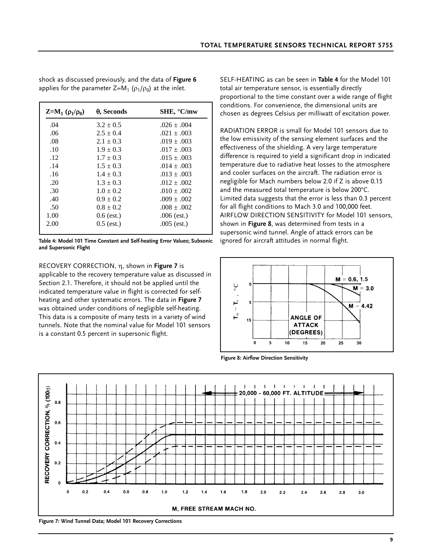shock as discussed previously, and the data of **Figure 6** applies for the parameter  $Z=M_1 (\rho_1/\rho_0)$  at the inlet.

| $Z=M_1(\rho_1/\rho_0)$ | $\theta$ , Seconds | $SHE$ , $°C/mw$ |
|------------------------|--------------------|-----------------|
| .04                    | $3.2 \pm 0.5$      | $.026 \pm .004$ |
| .06                    | $2.5 \pm 0.4$      | $.021 \pm .003$ |
| .08                    | $2.1 \pm 0.3$      | $.019 \pm .003$ |
| .10                    | $1.9 \pm 0.3$      | $.017 \pm .003$ |
| .12                    | $1.7 \pm 0.3$      | $.015 \pm .003$ |
| .14                    | $1.5 \pm 0.3$      | $.014 \pm .003$ |
| .16                    | $1.4 \pm 0.3$      | $.013 \pm .003$ |
| .20                    | $1.3 \pm 0.3$      | $.012 \pm .002$ |
| .30                    | $1.0 \pm 0.2$      | $.010 \pm .002$ |
| .40                    | $0.9 \pm 0.2$      | $.009 \pm .002$ |
| .50                    | $0.8 \pm 0.2$      | $.008 \pm .002$ |
| 1.00                   | $0.6$ (est.)       | $.006$ (est.)   |
| 2.00                   | $0.5$ (est.)       | $.005$ (est.)   |

**Table 4: Model 101 Time Constant and Self-heating Error Values; Subsonic and Supersonic Flight**

RECOVERY CORRECTION, η, shown in **Figure 7** is applicable to the recovery temperature value as discussed in Section 2.1. Therefore, it should not be applied until the indicated temperature value in flight is corrected for selfheating and other systematic errors. The data in **Figure 7** was obtained under conditions of negligible self-heating. This data is a composite of many tests in a variety of wind tunnels. Note that the nominal value for Model 101 sensors is a constant 0.5 percent in supersonic flight.

SELF-HEATING as can be seen in **Table 4** for the Model 101 total air temperature sensor, is essentially directly proportional to the time constant over a wide range of flight conditions. For convenience, the dimensional units are chosen as degrees Celsius per milliwatt of excitation power.

RADIATION ERROR is small for Model 101 sensors due to the low emissivity of the sensing element surfaces and the effectiveness of the shielding. A very large temperature difference is required to yield a significant drop in indicated temperature due to radiative heat losses to the atmosphere and cooler surfaces on the aircraft. The radiation error is negligible for Mach numbers below 2.0 if Z is above 0.15 and the measured total temperature is below 200°C. Limited data suggests that the error is less than 0.3 percent for all flight conditions to Mach 3.0 and 100,000 feet. AIRFLOW DIRECTION SENSITIVITY for Model 101 sensors, shown in **Figure 8**, was determined from tests in a supersonic wind tunnel. Angle of attack errors can be ignored for aircraft attitudes in normal flight.



**Figure 8: Airflow Direction Sensitivity**



**Figure 7: Wind Tunnel Data; Model 101 Recovery Corrections**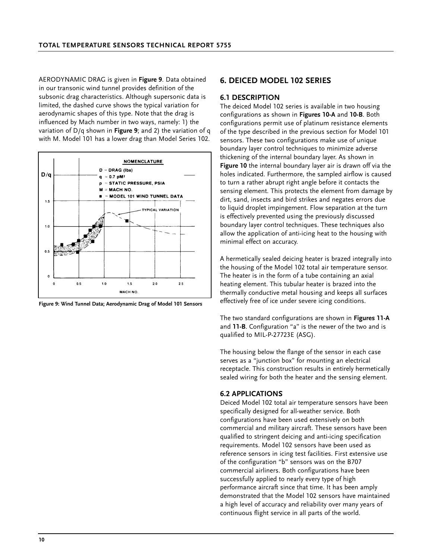AERODYNAMIC DRAG is given in **Figure 9**. Data obtained in our transonic wind tunnel provides definition of the subsonic drag characteristics. Although supersonic data is limited, the dashed curve shows the typical variation for aerodynamic shapes of this type. Note that the drag is influenced by Mach number in two ways, namely: 1) the variation of D/q shown in **Figure 9**; and 2) the variation of q with M. Model 101 has a lower drag than Model Series 102.



**Figure 9: Wind Tunnel Data; Aerodynamic Drag of Model 101 Sensors**

### **6. DEICED MODEL 102 SERIES**

#### **6.1 DESCRIPTION**

The deiced Model 102 series is available in two housing configurations as shown in **Figures 10-A** and **10-B**. Both configurations permit use of platinum resistance elements of the type described in the previous section for Model 101 sensors. These two configurations make use of unique boundary layer control techniques to minimize adverse thickening of the internal boundary layer. As shown in **Figure 10** the internal boundary layer air is drawn off via the holes indicated. Furthermore, the sampled airflow is caused to turn a rather abrupt right angle before it contacts the sensing element. This protects the element from damage by dirt, sand, insects and bird strikes and negates errors due to liquid droplet impingement. Flow separation at the turn is effectively prevented using the previously discussed boundary layer control techniques. These techniques also allow the application of anti-icing heat to the housing with minimal effect on accuracy.

A hermetically sealed deicing heater is brazed integrally into the housing of the Model 102 total air temperature sensor. The heater is in the form of a tube containing an axial heating element. This tubular heater is brazed into the thermally conductive metal housing and keeps all surfaces effectively free of ice under severe icing conditions.

The two standard configurations are shown in **Figures 11-A** and **11-B**. Configuration "a" is the newer of the two and is qualified to MIL-P-27723E (ASG).

The housing below the flange of the sensor in each case serves as a "junction box" for mounting an electrical receptacle. This construction results in entirely hermetically sealed wiring for both the heater and the sensing element.

#### **6.2 APPLICATIONS**

Deiced Model 102 total air temperature sensors have been specifically designed for all-weather service. Both configurations have been used extensively on both commercial and military aircraft. These sensors have been qualified to stringent deicing and anti-icing specification requirements. Model 102 sensors have been used as reference sensors in icing test facilities. First extensive use of the configuration "b" sensors was on the B707 commercial airliners. Both configurations have been successfully applied to nearly every type of high performance aircraft since that time. It has been amply demonstrated that the Model 102 sensors have maintained a high level of accuracy and reliability over many years of continuous flight service in all parts of the world.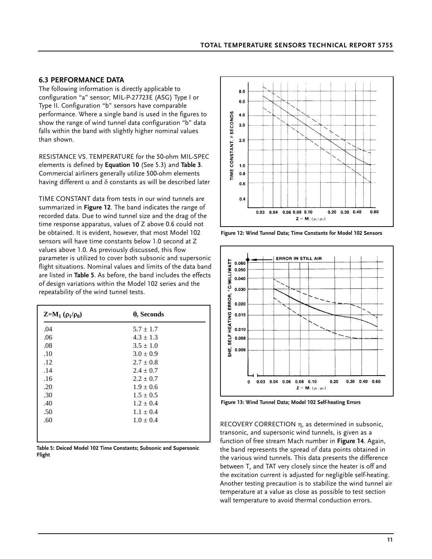### **6.3 PERFORMANCE DATA**

The following information is directly applicable to configuration "a" sensor; MIL-P-27723E (ASG) Type I or Type II. Configuration "b" sensors have comparable performance. Where a single band is used in the figures to show the range of wind tunnel data configuration "b" data falls within the band with slightly higher nominal values than shown.

RESISTANCE VS. TEMPERATURE for the 50-ohm MIL-SPEC elements is defined by **Equation 10** (See 5.3) and **Table 3**. Commercial airliners generally utilize 500-ohm elements having different  $\alpha$  and  $\delta$  constants as will be described later

TIME CONSTANT data from tests in our wind tunnels are summarized in **Figure 12**. The band indicates the range of recorded data. Due to wind tunnel size and the drag of the time response apparatus, values of Z above 0.6 could not be obtained. It is evident, however, that most Model 102 sensors will have time constants below 1.0 second at Z values above 1.0. As previously discussed, this flow parameter is utilized to cover both subsonic and supersonic flight situations. Nominal values and limits of the data band are listed in **Table 5**. As before, the band includes the effects of design variations within the Model 102 series and the repeatability of the wind tunnel tests.

| $Z=M_1(\rho_1/\rho_0)$ | $\theta$ , Seconds |
|------------------------|--------------------|
| .04                    | $5.7 \pm 1.7$      |
| .06                    | $4.3 \pm 1.3$      |
| .08                    | $3.5 \pm 1.0$      |
| .10                    | $3.0 \pm 0.9$      |
| .12                    | $2.7 \pm 0.8$      |
| .14                    | $2.4 \pm 0.7$      |
| .16                    | $2.2 \pm 0.7$      |
| .20                    | $1.9 \pm 0.6$      |
| .30                    | $1.5 \pm 0.5$      |
| .40                    | $1.2 \pm 0.4$      |
| .50                    | $1.1 \pm 0.4$      |
| .60                    | $1.0 \pm 0.4$      |
|                        |                    |
|                        |                    |

**Table 5: Deiced Model 102 Time Constants; Subsonic and Supersonic Flight**



**Figure 12: Wind Tunnel Data; Time Constants for Model 102 Sensors**



**Figure 13: Wind Tunnel Data; Model 102 Self-heating Errors**

RECOVERY CORRECTION η, as determined in subsonic, transonic, and supersonic wind tunnels, is given as a function of free stream Mach number in **Figure 14**. Again, the band represents the spread of data points obtained in the various wind tunnels. This data presents the difference between  $T_r$  and TAT very closely since the heater is off and the excitation current is adjusted for negligible self-heating. Another testing precaution is to stabilize the wind tunnel air temperature at a value as close as possible to test section wall temperature to avoid thermal conduction errors.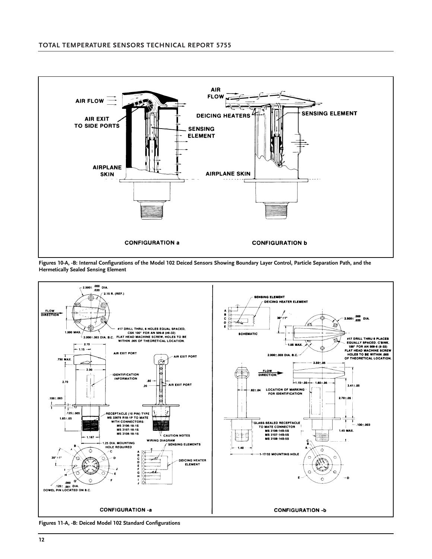

**Figures 10-A, -B: Internal Configurations of the Model 102 Deiced Sensors Showing Boundary Layer Control, Particle Separation Path, and the Hermetically Sealed Sensing Element**



**Figures 11-A, -B: Deiced Model 102 Standard Configurations**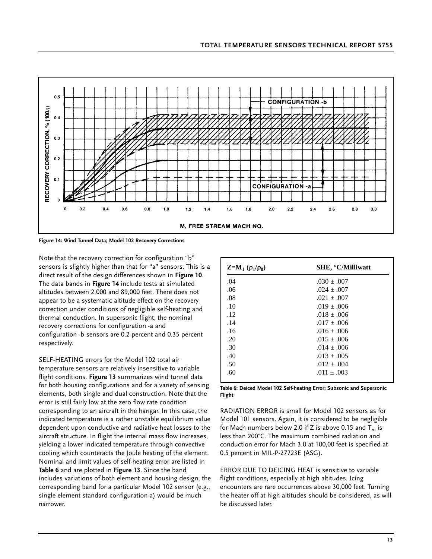

**Figure 14: Wind Tunnel Data; Model 102 Recovery Corrections**

Note that the recovery correction for configuration "b" sensors is slightly higher than that for "a" sensors. This is a direct result of the design differences shown in **Figure 10**. The data bands in **Figure 14** include tests at simulated altitudes between 2,000 and 89,000 feet. There does not appear to be a systematic altitude effect on the recovery correction under conditions of negligible self-heating and thermal conduction. In supersonic flight, the nominal recovery corrections for configuration -a and configuration -b sensors are 0.2 percent and 0.35 percent respectively.

SELF-HEATING errors for the Model 102 total air temperature sensors are relatively insensitive to variable flight conditions. **Figure 13** summarizes wind tunnel data for both housing configurations and for a variety of sensing elements, both single and dual construction. Note that the error is still fairly low at the zero flow rate condition corresponding to an aircraft in the hangar. In this case, the indicated temperature is a rather unstable equilibrium value dependent upon conductive and radiative heat losses to the aircraft structure. In flight the internal mass flow increases, yielding a lower indicated temperature through convective cooling which counteracts the Joule heating of the element. Nominal and limit values of self-heating error are listed in **Table 6** and are plotted in **Figure 13**. Since the band includes variations of both element and housing design, the corresponding band for a particular Model 102 sensor (e.g., single element standard configuration-a) would be much narrower.

| $Z=M_1(\rho_1/\rho_0)$ | <b>SHE, °C/Milliwatt</b> |
|------------------------|--------------------------|
| .04                    | $.030 \pm .007$          |
| .06                    | $.024 \pm .007$          |
| .08                    | $.021 \pm .007$          |
| .10                    | $.019 \pm .006$          |
| .12                    | $.018 \pm .006$          |
| .14                    | $.017 \pm .006$          |
| .16                    | $.016 \pm .006$          |
| .20                    | $.015 \pm .006$          |
| .30                    | $.014 \pm .006$          |
| .40                    | $.013 \pm .005$          |
| .50                    | $.012 \pm .004$          |
| .60                    | $.011 \pm .003$          |
|                        |                          |

**Table 6: Deiced Model 102 Self-heating Error; Subsonic and Supersonic Flight**

RADIATION ERROR is small for Model 102 sensors as for Model 101 sensors. Again, it is considered to be negligible for Mach numbers below 2.0 if Z is above 0.15 and  $T_m$  is less than 200°C. The maximum combined radiation and conduction error for Mach 3.0 at 100,00 feet is specified at 0.5 percent in MIL-P-27723E (ASG).

ERROR DUE TO DEICING HEAT is sensitive to variable flight conditions, especially at high altitudes. Icing encounters are rare occurrences above 30,000 feet. Turning the heater off at high altitudes should be considered, as will be discussed later.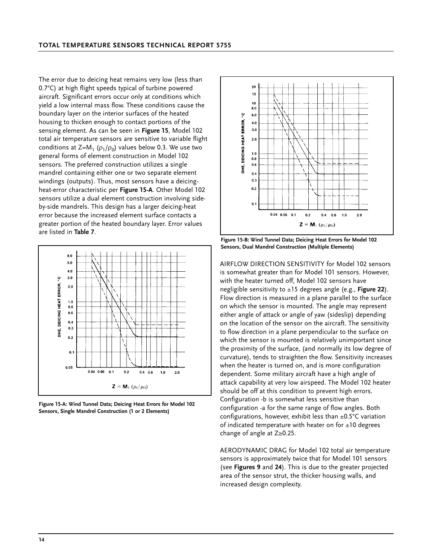The error due to deicing heat remains very low (less than 0.7°C) at high flight speeds typical of turbine powered aircraft. Significant errors occur only at conditions which yield a low internal mass flow. These conditions cause the boundary layer on the interior surfaces of the heated housing to thicken enough to contact portions of the sensing element. As can be seen in **Figure 15**, Model 102 total air temperature sensors are sensitive to variable flight conditions at  $Z=M_1 (\rho_1/\rho_0)$  values below 0.3. We use two general forms of element construction in Model 102 sensors. The preferred construction utilizes a single mandrel containing either one or two separate element windings (outputs). Thus, most sensors have a deicingheat-error characteristic per **Figure 15-A**. Other Model 102 sensors utilize a dual element construction involving sideby-side mandrels. This design has a larger deicing-heat error because the increased element surface contacts a greater portion of the heated boundary layer. Error values are listed in **Table 7**.



**Figure 15-A: Wind Tunnel Data; Deicing Heat Errors for Model 102 Sensors, Single Mandrel Construction (1 or 2 Elements)**



**Figure 15-B: Wind Tunnel Data; Deicing Heat Errors for Model 102 Sensors, Dual Mandrel Construction (Multiple Elements)**

AIRFLOW DIRECTION SENSITIVITY for Model 102 sensors is somewhat greater than for Model 101 sensors. However, with the heater turned off, Model 102 sensors have negligible sensitivity to ±15 degrees angle (e.g., **Figure 22**). Flow direction is measured in a plane parallel to the surface on which the sensor is mounted. The angle may represent either angle of attack or angle of yaw (sideslip) depending on the location of the sensor on the aircraft. The sensitivity to flow direction in a plane perpendicular to the surface on which the sensor is mounted is relatively unimportant since the proximity of the surface, (and normally its low degree of curvature), tends to straighten the flow. Sensitivity increases when the heater is turned on, and is more configuration dependent. Some military aircraft have a high angle of attack capability at very low airspeed. The Model 102 heater should be off at this condition to prevent high errors. Configuration -b is somewhat less sensitive than configuration -a for the same range of flow angles. Both configurations, however, exhibit less than  $\pm 0.5^{\circ}$ C variation of indicated temperature with heater on for  $\pm 10$  degrees change of angle at  $Z \geq 0.25$ .

AERODYNAMIC DRAG for Model 102 total air temperature sensors is approximately twice that for Model 101 sensors (see **Figures 9** and **24**). This is due to the greater projected area of the sensor strut, the thicker housing walls, and increased design complexity.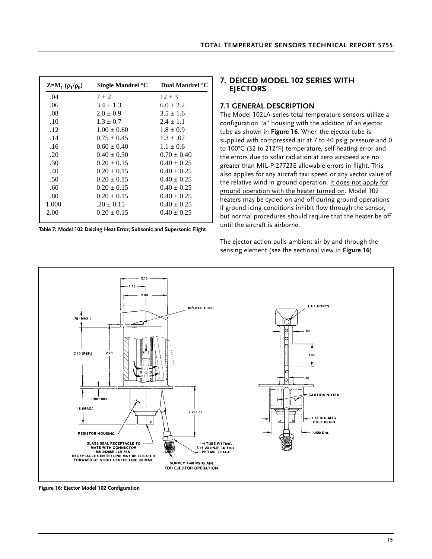|  |  |  | <b>TOTAL TEMPERATURE SENSORS TECHNICAL REPORT 5755</b> |
|--|--|--|--------------------------------------------------------|
|--|--|--|--------------------------------------------------------|

| $Z=M_1 (ρ_1/ρ_0)$ | Single Mandrel °C | Dual Mandrel °C |
|-------------------|-------------------|-----------------|
| .04               | $7 \pm 2$         | $12 \pm 3$      |
| .06               | $3.4 \pm 1.3$     | $6.0 \pm 2.2$   |
| .08               | $2.0 \pm 0.9$     | $3.5 \pm 1.6$   |
| .10               | $1.3 \pm 0.7$     | $2.4 \pm 1.1$   |
| .12               | $1.00 \pm 0.60$   | $1.8 \pm 0.9$   |
| .14               | $0.75 \pm 0.45$   | $1.3 \pm .07$   |
| .16               | $0.60 \pm 0.40$   | $1.1 \pm 0.6$   |
| .20               | $0.40 \pm 0.30$   | $0.70 \pm 0.40$ |
| .30               | $0.20 \pm 0.15$   | $0.40 \pm 0.25$ |
| .40               | $0.20 \pm 0.15$   | $0.40 \pm 0.25$ |
| .50               | $0.20 \pm 0.15$   | $0.40 \pm 0.25$ |
| .60               | $0.20 \pm 0.15$   | $0.40 \pm 0.25$ |
| .80               | $0.20 \pm 0.15$   | $0.40 \pm 0.25$ |
| 1.000             | $.20 \pm 0.15$    | $0.40 \pm 0.25$ |
| 2.00              | $0.20 + 0.15$     | $0.40 + 0.25$   |

**Table 7: Model 102 Deicing Heat Error; Subsonic and Supersonic Flight**

### **7. DEICED MODEL 102 SERIES WITH EJECTORS**

#### **7.1 GENERAL DESCRIPTION**

The Model 102LA-series total temperature sensors utilize a configuration "a" housing with the addition of an ejector tube as shown in **Figure 16**. When the ejector tube is supplied with compressed air at 7 to 40 psig pressure and 0 to 100°C (32 to 212°F) temperature, self-heating error and the errors due to solar radiation at zero airspeed are no greater than MIL-P-27723E allowable errors in flight. This also applies for any aircraft taxi speed or any vector value of the relative wind in ground operation. It does not apply for ground operation with the heater turned on. Model 102 heaters may be cycled on and off during ground operations if ground icing conditions inhibit flow through the sensor, but normal procedures should require that the heater be off until the aircraft is airborne.

The ejector action pulls ambient air by and through the sensing element (see the sectional view in **Figure 16**).



**Figure 16: Ejector Model 102 Configuration**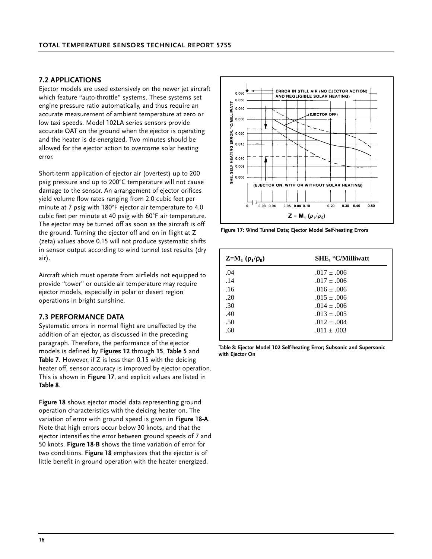#### **7.2 APPLICATIONS**

Ejector models are used extensively on the newer jet aircraft which feature "auto-throttle" systems. These systems set engine pressure ratio automatically, and thus require an accurate measurement of ambient temperature at zero or low taxi speeds. Model 102LA series sensors provide accurate OAT on the ground when the ejector is operating and the heater is de-energized. Two minutes should be allowed for the ejector action to overcome solar heating error.

Short-term application of ejector air (overtest) up to 200 psig pressure and up to 200°C temperature will not cause damage to the sensor. An arrangement of ejector orifices yield volume flow rates ranging from 2.0 cubic feet per minute at 7 psig with 180°F ejector air temperature to 4.0 cubic feet per minute at 40 psig with 60°F air temperature. The ejector may be turned off as soon as the aircraft is off the ground. Turning the ejector off and on in flight at Z (zeta) values above 0.15 will not produce systematic shifts in sensor output according to wind tunnel test results (dry air).

Aircraft which must operate from airfields not equipped to provide "tower" or outside air temperature may require ejector models, especially in polar or desert region operations in bright sunshine.

#### **7.3 PERFORMANCE DATA**

Systematic errors in normal flight are unaffected by the addition of an ejector, as discussed in the preceding paragraph. Therefore, the performance of the ejector models is defined by **Figures 12** through **15**, **Table 5** and **Table 7**. However, if Z is less than 0.15 with the deicing heater off, sensor accuracy is improved by ejector operation. This is shown in **Figure 17**, and explicit values are listed in **Table 8**.

**Figure 18** shows ejector model data representing ground operation characteristics with the deicing heater on. The variation of error with ground speed is given in **Figure 18-A**. Note that high errors occur below 30 knots, and that the ejector intensifies the error between ground speeds of 7 and 50 knots. **Figure 18-B** shows the time variation of error for two conditions. **Figure 18** emphasizes that the ejector is of little benefit in ground operation with the heater energized.



**Figure 17: Wind Tunnel Data; Ejector Model Self-heating Errors**

| $Z=M_1(\rho_1/\rho_0)$ | SHE, °C/Milliwatt |
|------------------------|-------------------|
| .04                    | $.017 \pm .006$   |
| .14                    | $.017 \pm .006$   |
| .16                    | $.016 \pm .006$   |
| .20                    | $.015 \pm .006$   |
| .30                    | $.014 \pm .006$   |
| .40                    | $.013 \pm .005$   |
| .50                    | $.012 \pm .004$   |
| .60                    | $.011 \pm .003$   |

**Table 8: Ejector Model 102 Self-heating Error; Subsonic and Supersonic with Ejector On**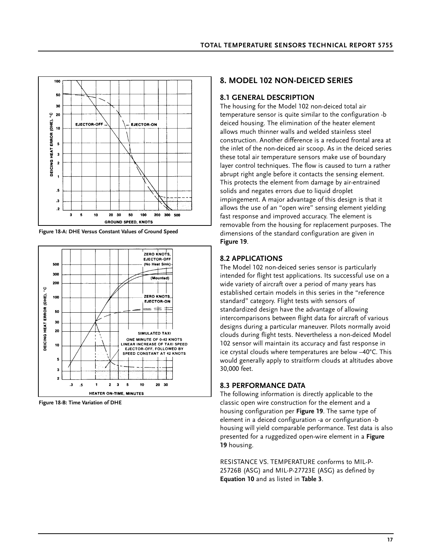

**Figure 18-A: DHE Versus Constant Values of Ground Speed**



**Figure 18-B: Time Variation of DHE**

### **8. MODEL 102 NON-DEICED SERIES**

### **8.1 GENERAL DESCRIPTION**

The housing for the Model 102 non-deiced total air temperature sensor is quite similar to the configuration -b deiced housing. The elimination of the heater element allows much thinner walls and welded stainless steel construction. Another difference is a reduced frontal area at the inlet of the non-deiced air scoop. As in the deiced series these total air temperature sensors make use of boundary layer control techniques. The flow is caused to turn a rather abrupt right angle before it contacts the sensing element. This protects the element from damage by air-entrained solids and negates errors due to liquid droplet impingement. A major advantage of this design is that it allows the use of an "open wire" sensing element yielding fast response and improved accuracy. The element is removable from the housing for replacement purposes. The dimensions of the standard configuration are given in **Figure 19**.

### **8.2 APPLICATIONS**

The Model 102 non-deiced series sensor is particularly intended for flight test applications. Its successful use on a wide variety of aircraft over a period of many years has established certain models in this series in the "reference standard" category. Flight tests with sensors of standardized design have the advantage of allowing intercomparisons between flight data for aircraft of various designs during a particular maneuver. Pilots normally avoid clouds during flight tests. Nevertheless a non-deiced Model 102 sensor will maintain its accuracy and fast response in ice crystal clouds where temperatures are below –40°C. This would generally apply to straitform clouds at altitudes above 30,000 feet.

### **8.3 PERFORMANCE DATA**

The following information is directly applicable to the classic open wire construction for the element and a housing configuration per **Figure 19**. The same type of element in a deiced configuration -a or configuration -b housing will yield comparable performance. Test data is also presented for a ruggedized open-wire element in a **Figure 19** housing.

RESISTANCE VS. TEMPERATURE conforms to MIL-P-25726B (ASG) and MIL-P-27723E (ASG) as defined by **Equation 10** and as listed in **Table 3**.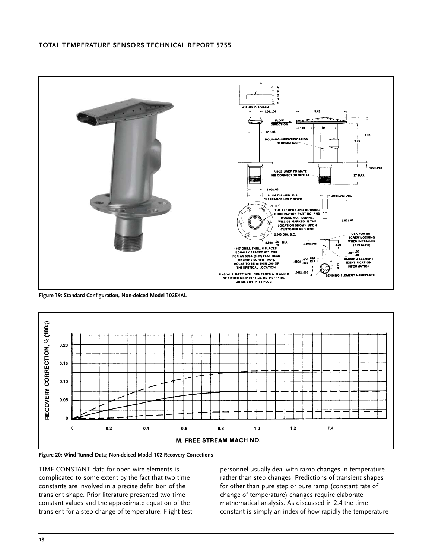

**Figure 19: Standard Configuration, Non-deiced Model 102E4AL**



**Figure 20: Wind Tunnel Data; Non-deiced Model 102 Recovery Corrections**

TIME CONSTANT data for open wire elements is complicated to some extent by the fact that two time constants are involved in a precise definition of the transient shape. Prior literature presented two time constant values and the approximate equation of the transient for a step change of temperature. Flight test

personnel usually deal with ramp changes in temperature rather than step changes. Predictions of transient shapes for other than pure step or pure ramp (constant rate of change of temperature) changes require elaborate mathematical analysis. As discussed in 2.4 the time constant is simply an index of how rapidly the temperature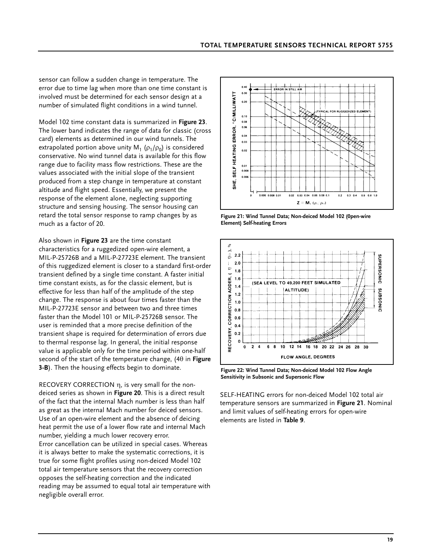sensor can follow a sudden change in temperature. The error due to time lag when more than one time constant is involved must be determined for each sensor design at a number of simulated flight conditions in a wind tunnel.

Model 102 time constant data is summarized in **Figure 23**. The lower band indicates the range of data for classic (cross card) elements as determined in our wind tunnels. The extrapolated portion above unity  $M_1$  ( $\rho_1/\rho_0$ ) is considered conservative. No wind tunnel data is available for this flow range due to facility mass flow restrictions. These are the values associated with the initial slope of the transient produced from a step change in temperature at constant altitude and flight speed. Essentially, we present the response of the element alone, neglecting supporting structure and sensing housing. The sensor housing can retard the total sensor response to ramp changes by as much as a factor of 20.

Also shown in **Figure 23** are the time constant characteristics for a ruggedized open-wire element, a MIL-P-25726B and a MIL-P-27723E element. The transient of this ruggedized element is closer to a standard first-order transient defined by a single time constant. A faster initial time constant exists, as for the classic element, but is effective for less than half of the amplitude of the step change. The response is about four times faster than the MIL-P-27723E sensor and between two and three times faster than the Model 101 or MIL-P-25726B sensor. The user is reminded that a more precise definition of the transient shape is required for determination of errors due to thermal response lag. In general, the initial response value is applicable only for the time period within one-half second of the start of the temperature change, (4θ in **Figure 3-B**). Then the housing effects begin to dominate.

RECOVERY CORRECTION η, is very small for the nondeiced series as shown in **Figure 20**. This is a direct result of the fact that the internal Mach number is less than half as great as the internal Mach number for deiced sensors. Use of an open-wire element and the absence of deicing heat permit the use of a lower flow rate and internal Mach number, yielding a much lower recovery error. Error cancellation can be utilized in special cases. Whereas it is always better to make the systematic corrections, it is true for some flight profiles using non-deiced Model 102 total air temperature sensors that the recovery correction opposes the self-heating correction and the indicated reading may be assumed to equal total air temperature with negligible overall error.



**Figure 21: Wind Tunnel Data; Non-deiced Model 102 (0pen-wire Element) Self-heating Errors**



**Figure 22: Wind Tunnel Data; Non-deiced Model 102 Flow Angle Sensitivity in Subsonic and Supersonic Flow**

SELF-HEATING errors for non-deiced Model 102 total air temperature sensors are summarized in **Figure 21**. Nominal and limit values of self-heating errors for open-wire elements are listed in **Table 9**.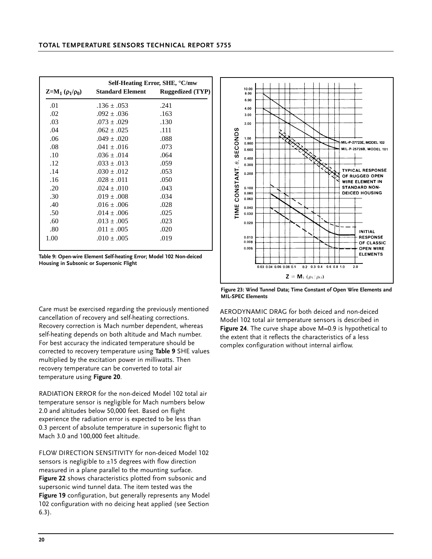| <b>Standard Element</b><br>$Z=M_1(\rho_1/\rho_0)$<br>.01<br>$.136 \pm .053$<br>.241<br>.02<br>.163<br>$.092 \pm .036$ | Self-Heating Error, SHE, °C/mw |  |  |  |  |  |
|-----------------------------------------------------------------------------------------------------------------------|--------------------------------|--|--|--|--|--|
|                                                                                                                       | <b>Ruggedized (TYP)</b>        |  |  |  |  |  |
|                                                                                                                       |                                |  |  |  |  |  |
|                                                                                                                       |                                |  |  |  |  |  |
| .03<br>$.073 \pm .029$<br>.130                                                                                        |                                |  |  |  |  |  |
| .04<br>.111<br>$.062 \pm .025$                                                                                        |                                |  |  |  |  |  |
| .06<br>.088<br>$.049 \pm .020$                                                                                        |                                |  |  |  |  |  |
| .08<br>$.041 \pm .016$<br>.073                                                                                        |                                |  |  |  |  |  |
| .10<br>.064<br>$.036 \pm .014$                                                                                        |                                |  |  |  |  |  |
| .12<br>$.033 \pm .013$<br>.059                                                                                        |                                |  |  |  |  |  |
| .14<br>$.030 \pm .012$<br>.053                                                                                        |                                |  |  |  |  |  |
| .16<br>$.028 \pm .011$<br>.050                                                                                        |                                |  |  |  |  |  |
| .20<br>.043<br>$.024 \pm .010$                                                                                        |                                |  |  |  |  |  |
| .30<br>.034<br>$.019 \pm .008$                                                                                        |                                |  |  |  |  |  |
| .40<br>.028<br>$.016 \pm .006$                                                                                        |                                |  |  |  |  |  |
| .50<br>$.014 \pm .006$<br>.025                                                                                        |                                |  |  |  |  |  |
| .60<br>.023<br>$.013 \pm .005$                                                                                        |                                |  |  |  |  |  |
| .80<br>.020<br>$.011 \pm .005$                                                                                        |                                |  |  |  |  |  |
| 1.00<br>$.010 \pm .005$<br>.019                                                                                       |                                |  |  |  |  |  |

**Table 9: Open-wire Element Self-heating Error; Model 102 Non-deiced Housing in Subsonic or Supersonic Flight**

Care must be exercised regarding the previously mentioned cancellation of recovery and self-heating corrections. Recovery correction is Mach number dependent, whereas self-heating depends on both altitude and Mach number. For best accuracy the indicated temperature should be corrected to recovery temperature using **Table 9** SHE values multiplied by the excitation power in milliwatts. Then recovery temperature can be converted to total air temperature using **Figure 20**.

RADIATION ERROR for the non-deiced Model 102 total air temperature sensor is negligible for Mach numbers below 2.0 and altitudes below 50,000 feet. Based on flight experience the radiation error is expected to be less than 0.3 percent of absolute temperature in supersonic flight to Mach 3.0 and 100,000 feet altitude.

FLOW DIRECTION SENSITIVITY for non-deiced Model 102 sensors is negligible to  $\pm 15$  degrees with flow direction measured in a plane parallel to the mounting surface. **Figure 22** shows characteristics plotted from subsonic and supersonic wind tunnel data. The item tested was the **Figure 19** configuration, but generally represents any Model 102 configuration with no deicing heat applied (see Section 6.3).



**Figure 23: Wind Tunnel Data; Time Constant of Open Wire Elements and MIL-SPEC Elements**

AERODYNAMIC DRAG for both deiced and non-deiced Model 102 total air temperature sensors is described in **Figure 24**. The curve shape above M=0.9 is hypothetical to the extent that it reflects the characteristics of a less complex configuration without internal airflow.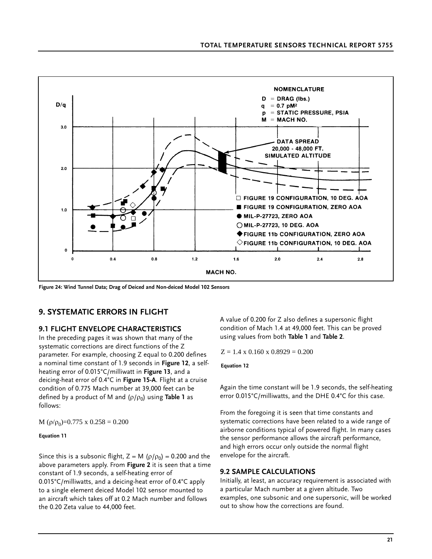

**Figure 24: Wind Tunnel Data; Drag of Deiced and Non-deiced Model 102 Sensors**

### **9. SYSTEMATIC ERRORS IN FLIGHT**

#### **9.1 FLIGHT ENVELOPE CHARACTERISTICS**

In the preceding pages it was shown that many of the systematic corrections are direct functions of the Z parameter. For example, choosing Z equal to 0.200 defines a nominal time constant of 1.9 seconds in **Figure 12**, a selfheating error of 0.015°C/milliwatt in **Figure 13**, and a deicing-heat error of 0.4°C in **Figure 15-A**. Flight at a cruise condition of 0.775 Mach number at 39,000 feet can be defined by a product of M and  $(\rho/\rho_0)$  using **Table 1** as follows:

M  $(\rho/\rho_0)$ =0.775 x 0.258 = 0.200

#### **Equation 11**

Since this is a subsonic flight,  $Z = M(\rho/\rho_0) = 0.200$  and the above parameters apply. From **Figure 2** it is seen that a time constant of 1.9 seconds, a self-heating error of 0.015°C/milliwatts, and a deicing-heat error of 0.4°C apply to a single element deiced Model 102 sensor mounted to an aircraft which takes off at 0.2 Mach number and follows the 0.20 Zeta value to 44,000 feet.

A value of 0.200 for Z also defines a supersonic flight condition of Mach 1.4 at 49,000 feet. This can be proved using values from both **Table 1** and **Table 2**.

 $Z = 1.4 \times 0.160 \times 0.8929 = 0.200$ 

**Equation 12**

Again the time constant will be 1.9 seconds, the self-heating error 0.015°C/milliwatts, and the DHE 0.4°C for this case.

From the foregoing it is seen that time constants and systematic corrections have been related to a wide range of airborne conditions typical of powered flight. In many cases the sensor performance allows the aircraft performance, and high errors occur only outside the normal flight envelope for the aircraft.

#### **9.2 SAMPLE CALCULATIONS**

Initially, at least, an accuracy requirement is associated with a particular Mach number at a given altitude. Two examples, one subsonic and one supersonic, will be worked out to show how the corrections are found.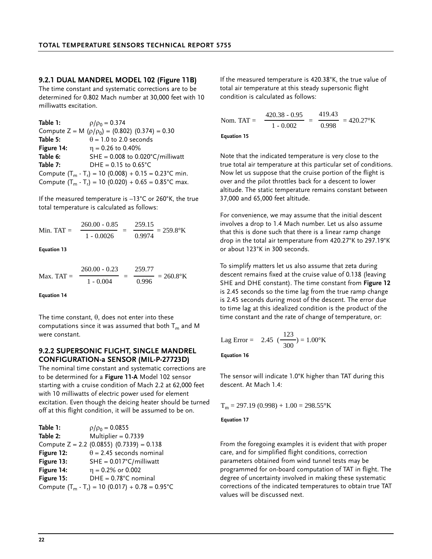**9.2.1 DUAL MANDREL MODEL 102 (Figure 11B)**

The time constant and systematic corrections are to be determined for 0.802 Mach number at 30,000 feet with 10 milliwatts excitation.

| Table 1:   | $\rho/\rho_0 = 0.374$                                           |
|------------|-----------------------------------------------------------------|
|            | Compute Z = M $(\rho/\rho_0)$ = (0.802) (0.374) = 0.30          |
| Table 5:   | $\theta$ = 1.0 to 2.0 seconds                                   |
| Figure 14: | $\eta = 0.26$ to 0.40%                                          |
| Table 6:   | SHE = $0.008$ to $0.020^{\circ}$ C/milliwatt                    |
| Table 7:   | DHE = $0.15$ to $0.65^{\circ}$ C                                |
|            | Compute $(T_m - T_r) = 10 (0.008) + 0.15 = 0.23$ °C min.        |
|            | Compute $(T_m - T_r) = 10 (0.020) + 0.65 = 0.85^{\circ}$ C max. |

If the measured temperature is –13°C or 260°K, the true total temperature is calculated as follows:

Min. TAT = 
$$
\frac{260.00 - 0.85}{1 - 0.0026} = \frac{259.15}{0.9974} = 259.8^{\circ} \text{K}
$$

#### **Equation 13**

Max. TAT =  $\frac{ }{ }$  =  $\frac{ }{ }$  = 260.8°K 260.00 - 0.23 1 - 0.004 259.77 0.996

**Equation 14**

The time constant,  $\theta$ , does not enter into these computations since it was assumed that both  $T_m$  and M were constant.

#### **9.2.2 SUPERSONIC FLIGHT, SINGLE MANDREL CONFIGURATION-a SENSOR (MIL-P-27723D)**

The nominal time constant and systematic corrections are to be determined for a **Figure 11-A** Model 102 sensor starting with a cruise condition of Mach 2.2 at 62,000 feet with 10 milliwatts of electric power used for element excitation. Even though the deicing heater should be turned off at this flight condition, it will be assumed to be on.

| Table 1:   | $\rho/\rho_0 = 0.0855$                                     |
|------------|------------------------------------------------------------|
| Table 2:   | Multiplier = $0.7339$                                      |
|            | Compute $Z = 2.2$ (0.0855) (0.7339) = 0.138                |
| Figure 12: | $\theta$ = 2.45 seconds nominal                            |
| Figure 13: | $SHE = 0.017^{\circ}C/m$ illiwatt                          |
| Figure 14: | $\eta = 0.2\%$ or 0.002                                    |
| Figure 15: | $DHE = 0.78$ °C nominal                                    |
|            | Compute $(T_m - T_r) = 10 (0.017) + 0.78 = 0.95^{\circ}$ C |

If the measured temperature is 420.38°K, the true value of total air temperature at this steady supersonic flight condition is calculated as follows:

$$
\text{Nom. TAT} = \frac{420.38 \cdot 0.95}{1 \cdot 0.002} = \frac{419.43}{0.998} = 420.27 \text{°K}
$$

**Equation 15**

Note that the indicated temperature is very close to the true total air temperature at this particular set of conditions. Now let us suppose that the cruise portion of the flight is over and the pilot throttles back for a descent to lower altitude. The static temperature remains constant between 37,000 and 65,000 feet altitude.

For convenience, we may assume that the initial descent involves a drop to 1.4 Mach number. Let us also assume that this is done such that there is a linear ramp change drop in the total air temperature from 420.27°K to 297.19°K or about 123°K in 300 seconds.

To simplify matters let us also assume that zeta during descent remains fixed at the cruise value of 0.138 (leaving SHE and DHE constant). The time constant from **Figure 12** is 2.45 seconds so the time lag from the true ramp change is 2.45 seconds during most of the descent. The error due to time lag at this idealized condition is the product of the time constant and the rate of change of temperature, or:

Lag Error = 2.45 
$$
(\frac{123}{300}) = 1.00
$$
°K

**Equation 16**

The sensor will indicate 1.0°K higher than TAT during this descent. At Mach 1.4:

$$
T_m = 297.19 (0.998) + 1.00 = 298.55^{\circ} K
$$

**Equation 17**

From the foregoing examples it is evident that with proper care, and for simplified flight conditions, correction parameters obtained from wind tunnel tests may be programmed for on-board computation of TAT in flight. The degree of uncertainty involved in making these systematic corrections of the indicated temperatures to obtain true TAT values will be discussed next.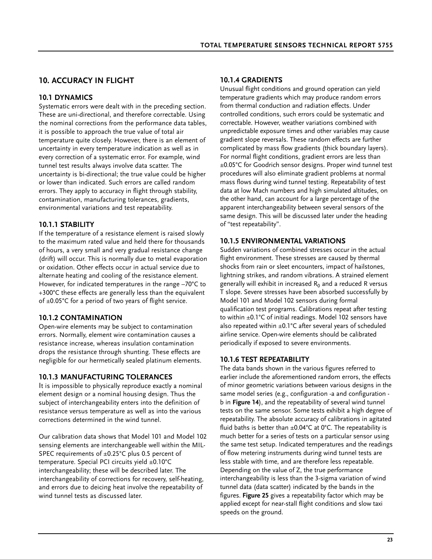# **10. ACCURACY IN FLIGHT**

### **10.1 DYNAMICS**

Systematic errors were dealt with in the preceding section. These are uni-directional, and therefore correctable. Using the nominal corrections from the performance data tables, it is possible to approach the true value of total air temperature quite closely. However, there is an element of uncertainty in every temperature indication as well as in every correction of a systematic error. For example, wind tunnel test results always involve data scatter. The uncertainty is bi-directional; the true value could be higher or lower than indicated. Such errors are called random errors. They apply to accuracy in flight through stability, contamination, manufacturing tolerances, gradients, environmental variations and test repeatability.

### **10.1.1 STABILITY**

If the temperature of a resistance element is raised slowly to the maximum rated value and held there for thousands of hours, a very small and very gradual resistance change (drift) will occur. This is normally due to metal evaporation or oxidation. Other effects occur in actual service due to alternate heating and cooling of the resistance element. However, for indicated temperatures in the range –70°C to +300°C these effects are generally less than the equivalent of  $\pm 0.05^{\circ}$ C for a period of two years of flight service.

### **10.1.2 CONTAMINATION**

Open-wire elements may be subject to contamination errors. Normally, element wire contamination causes a resistance increase, whereas insulation contamination drops the resistance through shunting. These effects are negligible for our hermetically sealed platinum elements.

### **10.1.3 MANUFACTURING TOLERANCES**

It is impossible to physically reproduce exactly a nominal element design or a nominal housing design. Thus the subject of interchangeability enters into the definition of resistance versus temperature as well as into the various corrections determined in the wind tunnel.

Our calibration data shows that Model 101 and Model 102 sensing elements are interchangeable well within the MIL-SPEC requirements of ±0.25°C plus 0.5 percent of temperature. Special PCI circuits yield ±0.10°C interchangeability; these will be described later. The interchangeability of corrections for recovery, self-heating, and errors due to deicing heat involve the repeatability of wind tunnel tests as discussed later.

### **10.1.4 GRADIENTS**

Unusual flight conditions and ground operation can yield temperature gradients which may produce random errors from thermal conduction and radiation effects. Under controlled conditions, such errors could be systematic and correctable. However, weather variations combined with unpredictable exposure times and other variables may cause gradient slope reversals. These random effects are further complicated by mass flow gradients (thick boundary layers). For normal flight conditions, gradient errors are less than ±0.05°C for Goodrich sensor designs. Proper wind tunnel test procedures will also eliminate gradient problems at normal mass flows during wind tunnel testing. Repeatability of test data at low Mach numbers and high simulated altitudes, on the other hand, can account for a large percentage of the apparent interchangeability between several sensors of the same design. This will be discussed later under the heading of "test repeatability".

### **10.1.5 ENVIRONMENTAL VARIATIONS**

Sudden variations of combined stresses occur in the actual flight environment. These stresses are caused by thermal shocks from rain or sleet encounters, impact of hailstones, lightning strikes, and random vibrations. A strained element generally will exhibit in increased  $R_0$  and a reduced R versus T slope. Severe stresses have been absorbed successfully by Model 101 and Model 102 sensors during formal qualification test programs. Calibrations repeat after testing to within ±0.1°C of initial readings. Model 102 sensors have also repeated within  $\pm 0.1^{\circ}$ C after several years of scheduled airline service. Open-wire elements should be calibrated periodically if exposed to severe environments.

### **10.1.6 TEST REPEATABILITY**

The data bands shown in the various figures referred to earlier include the aforementioned random errors, the effects of minor geometric variations between various designs in the same model series (e.g., configuration -a and configuration b in **Figure 14**), and the repeatability of several wind tunnel tests on the same sensor. Some tests exhibit a high degree of repeatability. The absolute accuracy of calibrations in agitated fluid baths is better than  $\pm 0.04^{\circ}$ C at 0°C. The repeatability is much better for a series of tests on a particular sensor using the same test setup. Indicated temperatures and the readings of flow metering instruments during wind tunnel tests are less stable with time, and are therefore less repeatable. Depending on the value of Z, the true performance interchangeability is less than the 3-sigma variation of wind tunnel data (data scatter) indicated by the bands in the figures. **Figure 25** gives a repeatability factor which may be applied except for near-stall flight conditions and slow taxi speeds on the ground.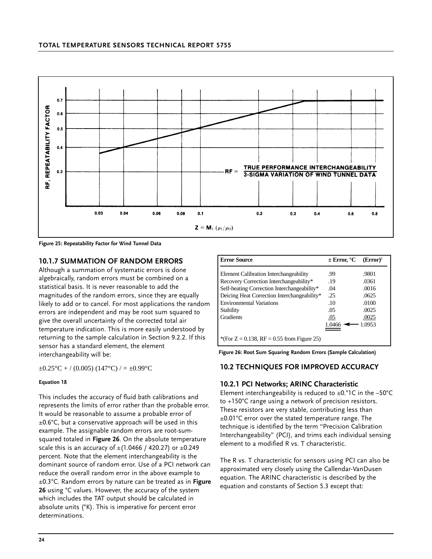

**Figure 25: Repeatability Factor for Wind Tunnel Data**

#### **10.1.7 SUMMATION OF RANDOM ERRORS**

Although a summation of systematic errors is done algebraically, random errors must be combined on a statistical basis. It is never reasonable to add the magnitudes of the random errors, since they are equally likely to add or to cancel. For most applications the random errors are independent and may be root sum squared to give the overall uncertainty of the corrected total air temperature indication. This is more easily understood by returning to the sample calculation in Section 9.2.2. If this sensor has a standard element, the element interchangeability will be:

 $\pm 0.25^{\circ}\text{C} + / (0.005) (147^{\circ}\text{C}) / = \pm 0.99^{\circ}\text{C}$ 

#### **Equation 18**

This includes the accuracy of fluid bath calibrations and represents the limits of error rather than the probable error. It would be reasonable to assume a probable error of  $±0.6^{\circ}$ C, but a conservative approach will be used in this example. The assignable random errors are root-sumsquared totaled in **Figure 26**. On the absolute temperature scale this is an accuracy of  $\pm$ (1.0466 / 420.27) or  $\pm$ 0.249 percent. Note that the element interchangeability is the dominant source of random error. Use of a PCI network can reduce the overall random error in the above example to ±0.3°C. Random errors by nature can be treated as in **Figure 26** using °C values. However, the accuracy of the system which includes the TAT output should be calculated in absolute units (°K). This is imperative for percent error determinations.

| <b>Error Source</b>                           | $\pm$ Error, $^{\circ}$ C | $(Error)^2$ |
|-----------------------------------------------|---------------------------|-------------|
|                                               |                           |             |
| Element Calibration Interchangeability        | .99                       | .9801       |
| Recovery Correction Interchangeability*       | .19                       | .0361       |
| Self-heating Correction Interchangeability*   | .04                       | .0016       |
| Deicing Heat Correction Interchangeability*   | .25                       | .0625       |
| <b>Environmental Variations</b>               | .10                       | .0100       |
| Stability                                     | .05                       | .0025       |
| Gradients                                     | .05                       | .0025       |
|                                               | 1.0466                    | $-1.0953$   |
|                                               |                           |             |
| *(For $Z = 0.138$ , RF = 0.55 from Figure 25) |                           |             |

**Figure 26: Root Sum Squaring Random Errors (Sample Calculation)**

### **10.2 TECHNIQUES FOR IMPROVED ACCURACY**

#### **10.2.1 PCI Networks; ARINC Characteristic**

Element interchangeability is reduced to  $\pm 0.^\circ$ 1C in the -50 $^\circ$ C to +150°C range using a network of precision resistors. These resistors are very stable, contributing less than ±0.01°C error over the stated temperature range. The technique is identified by the term "Precision Calibration Interchangeability" (PCI), and trims each individual sensing element to a modified R vs. T characteristic.

The R vs. T characteristic for sensors using PCI can also be approximated very closely using the Callendar-VanDusen equation. The ARINC characteristic is described by the equation and constants of Section 5.3 except that: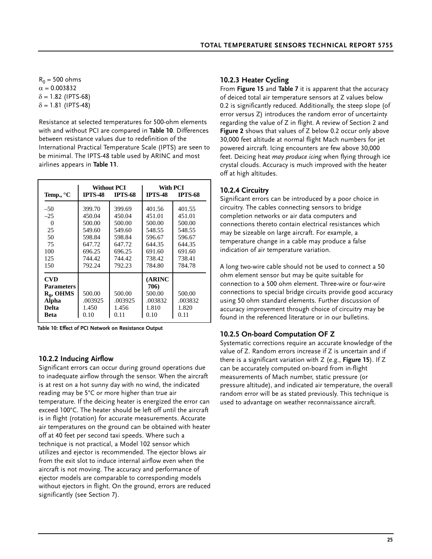$R_0 = 500$  ohms  $α = 0.003832$  $\delta$  = 1.82 (IPTS-68)  $\delta$  = 1.81 (IPTS-48)

Resistance at selected temperatures for 500-ohm elements with and without PCI are compared in **Table 10**. Differences between resistance values due to redefinition of the International Practical Temperature Scale (IPTS) are seen to be minimal. The IPTS-48 table used by ARINC and most airlines appears in **Table 11**.

| Temp., $\mathrm{C}$                                                                            | <b>IPTS-48</b>                                                                         | Without PCI<br><b>IPTS-68</b>                                                          | With PCI<br><b>IPTS-48</b><br><b>IPTS-68</b>                                           |                                                                                        |  |  |
|------------------------------------------------------------------------------------------------|----------------------------------------------------------------------------------------|----------------------------------------------------------------------------------------|----------------------------------------------------------------------------------------|----------------------------------------------------------------------------------------|--|--|
| $-50$<br>$-25$<br>0<br>25<br>50<br>75<br>100<br>125<br>150                                     | 399.70<br>450.04<br>500.00<br>549.60<br>598.84<br>647.72<br>696.25<br>744.42<br>792.24 | 399.69<br>450.04<br>500.00<br>549.60<br>598.84<br>647.72<br>696.25<br>744.42<br>792.23 | 401.56<br>451.01<br>500.00<br>548.55<br>596.67<br>644.35<br>691.60<br>738.42<br>784.80 | 401.55<br>451.01<br>500.00<br>548.55<br>596.67<br>644.35<br>691.60<br>738.41<br>784.78 |  |  |
| <b>CVD</b><br><b>Parameters</b><br>$R_0$ , OHMS<br><b>Alpha</b><br><b>Delta</b><br><b>Beta</b> | 500.00<br>.003925<br>1.450<br>0.10                                                     | 500.00<br>.003925<br>1.456<br>0.11                                                     | (ARINC<br>706)<br>500.00<br>.003832<br>1.810<br>0.10                                   | 500.00<br>.003832<br>1.820<br>0.11                                                     |  |  |

**Table 10: Effect of PCI Network on Resistance Output**

#### **10.2.2 Inducing Airflow**

Significant errors can occur during ground operations due to inadequate airflow through the sensor. When the aircraft is at rest on a hot sunny day with no wind, the indicated reading may be 5°C or more higher than true air temperature. If the deicing heater is energized the error can exceed 100°C. The heater should be left off until the aircraft is in flight (rotation) for accurate measurements. Accurate air temperatures on the ground can be obtained with heater off at 40 feet per second taxi speeds. Where such a technique is not practical, a Model 102 sensor which utilizes and ejector is recommended. The ejector blows air from the exit slot to induce internal airflow even when the aircraft is not moving. The accuracy and performance of ejector models are comparable to corresponding models without ejectors in flight. On the ground, errors are reduced significantly (see Section 7).

#### **10.2.3 Heater Cycling**

From **Figure 15** and **Table 7** it is apparent that the accuracy of deiced total air temperature sensors at Z values below 0.2 is significantly reduced. Additionally, the steep slope (of error versus Z) introduces the random error of uncertainty regarding the value of Z in flight. A review of Section 2 and **Figure 2** shows that values of Z below 0.2 occur only above 30,000 feet altitude at normal flight Mach numbers for jet powered aircraft. Icing encounters are few above 30,000 feet. Deicing heat *may produce icing* when flying through ice crystal clouds. Accuracy is much improved with the heater off at high altitudes.

### **10.2.4 Circuitry**

Significant errors can be introduced by a poor choice in circuitry. The cables connecting sensors to bridge completion networks or air data computers and connections thereto contain electrical resistances which may be sizeable on large aircraft. For example, a temperature change in a cable may produce a false indication of air temperature variation.

A long two-wire cable should not be used to connect a 50 ohm element sensor but may be quite suitable for connection to a 500 ohm element. Three-wire or four-wire connections to special bridge circuits provide good accuracy using 50 ohm standard elements. Further discussion of accuracy improvement through choice of circuitry may be found in the referenced literature or in our bulletins.

#### **10.2.5 On-board Computation OF Z**

Systematic corrections require an accurate knowledge of the value of Z. Random errors increase if Z is uncertain and if there is a significant variation with Z (e.g., **Figure 15**). If Z can be accurately computed on-board from in-flight measurements of Mach number, static pressure (or pressure altitude), and indicated air temperature, the overall random error will be as stated previously. This technique is used to advantage on weather reconnaissance aircraft.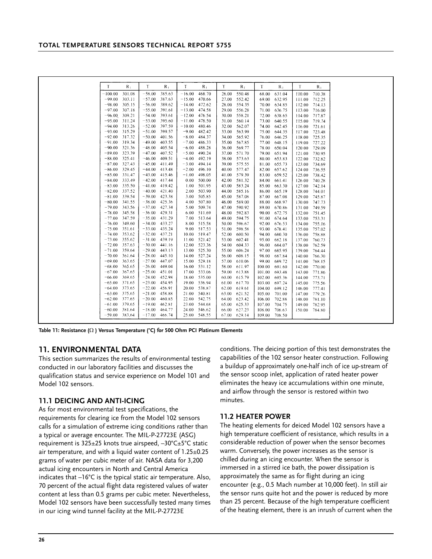| $-100.00$<br>301.08<br>$-58.00$<br>385.63<br>$-16.00$<br>468.70<br>550.48<br>26.00<br>68.00<br>631.04<br>710.38<br>110.00<br>$-99.00$<br>$-57.00$<br>387.63<br>470.66<br>552.42<br>303.11<br>$-15.00$<br>27.00<br>69.00<br>632.95<br>111.00<br>712.25<br>305.15<br>$-56.00$<br>389.62<br>$-98.00$<br>$-14.00$<br>472.62<br>28.00<br>554.35<br>70.00<br>634.85<br>112.00 714.13<br>$-97.00$<br>307.18<br>$-55.00$<br>391.61<br>$-13.00$<br>474.58<br>556.28<br>29.00<br>71.00<br>636.75<br>716.00<br>113.00<br>393.61<br>476.54<br>558.21<br>$-96.00$<br>309.21<br>$-54.00$<br>$-12.00$<br>30.00<br>72.00<br>638.65<br>717.87<br>114.00<br>395.60<br>478.50<br>$-95.00$<br>311.24<br>$-53.00$<br>$-11.00$<br>31.00<br>560.14<br>73.00<br>640.55<br>115.00<br>719.74<br>$-94.00$ 313.26<br>$-52.00$<br>397.59<br>$-10.00$<br>480.46<br>562.07<br>32.00<br>74.00<br>642.45<br>721.61<br>116.00<br>$-93.00$<br>315.29<br>$-51.00$<br>399.57<br>$-9.00$<br>482.42<br>563.99<br>33.00<br>75.00<br>644.35<br>723.48<br>117.00<br>$-92.00$<br>317.32<br>$-50.00$<br>401.56<br>$-8.00$<br>484.37<br>34.00<br>565.92<br>76.00<br>646.25<br>725.35<br>118.00<br>319.34<br>$-91.00$<br>$-49.00$<br>403.55<br>$-7.00$<br>486.33<br>567.85<br>648.15<br>35.00<br>77.00<br>727.22<br>119.00<br>321.36<br>488.28<br>$-90.00$<br>$-48.00$<br>405.54<br>$-6.00$<br>569.77<br>36.00<br>78.00<br>650.04<br>729.09<br>120.00<br>490.24<br>$-89.00$<br>323.39<br>$-47.00$<br>407.52<br>$-5.00$<br>571.70<br>37.00<br>79.00<br>651.94<br>730.95<br>121.00<br>492.19<br>$-88.00$<br>325.41<br>$-46.00$<br>409.51<br>$-4.00$<br>573.63<br>38.00<br>80.00<br>653.83<br>732.82<br>122.00<br>327.43<br>411.49<br>$-3.00$<br>494.14<br>575.55<br>$-87.00$<br>$-45.00$<br>39.00<br>81.00<br>655.73<br>123.00<br>734.69<br>329.45<br>$-2.00$<br>496.10<br>577.47<br>$-86.00$<br>$-44.00$<br>413.48<br>40.00<br>657.62<br>82.00<br>124.00<br>736.55<br>331.47<br>$-43.00$<br>415.46<br>498.05<br>579.39<br>$-85.00$<br>$-1.00$<br>41.00<br>83.00<br>659.52<br>125.00<br>738.42<br>333.49<br>500.00<br>$-84.00$<br>$-42.00$<br>417.44<br>0.00<br>42.00<br>581.32<br>84.00<br>740.28<br>661.41<br>126.00<br>$-83.00$<br>335.50<br>$-41.00$<br>419.42<br>1.00<br>501.95<br>43.00<br>583.24<br>85.00<br>663.30<br>127.00<br>742.14<br>503.90<br>585.16<br>337.52<br>$-40.00$<br>421.40<br>2.00<br>44.00<br>665.19<br>$-82.00$<br>86.00<br>744.01<br>128.00<br>$-81.00$<br>339.54<br>$-39.00$<br>423.38<br>3.00<br>505.85<br>587.08<br>745.87<br>45.00<br>87.00<br>667.08<br>129.00<br>$-80.00$<br>341.55<br>425.36<br>507.80<br>$-38.00$<br>4.00<br>46.00<br>589.00<br>88.00<br>668.97<br>747.73<br>130.00<br>427.34<br>$-79.00$<br>343.56<br>$-37.00$<br>509.74<br>590.92<br>5.00<br>47.00<br>89.00<br>670.86<br>749.59<br>131.00<br>$-78.00$<br>345.58<br>$-36.00$<br>429.31<br>6.00<br>511.69<br>592.83<br>48.00<br>90.00<br>672.75<br>132.00<br>751.45<br>347.59<br>$-35.00$<br>431.29<br>513.64<br>$-77.00$<br>7.00<br>49.00<br>594.75<br>91.00<br>674.64<br>753.31<br>133.00<br>433.27<br>$-76.00$<br>349.60<br>$-34.00$<br>515.58<br>596.67<br>8.00<br>50.00<br>92.00<br>676.53<br>755.16<br>134.00<br>$-33.00$<br>435.24<br>$-75.00$<br>351.61<br>9.00<br>517.53<br>598.58<br>678.41<br>51.00<br>93.00<br>135.00<br>757.02<br>$-74.00$<br>353.62<br>$-32.00$<br>437.21<br>10.00<br>519.47<br>52.00<br>600.50<br>94.00<br>680.30<br>758.88<br>136.00<br>355.62<br>439.19<br>521.42<br>$-73.00$<br>$-31.00$<br>11.00<br>53.00<br>602.41<br>682.18<br>95.00<br>137.00<br>760.73<br>357.63<br>$-30.00$<br>441.16<br>523.36<br>$-72.00$<br>12.00<br>54.00<br>604.33<br>96.00<br>684.07<br>762.59<br>138.00<br>$-71.00$<br>359.64<br>$-29.00$<br>525.30<br>443.13<br>13.00<br>55.00<br>606.24<br>685.95<br>97.00<br>139.00<br>764.44<br>$-70.00$<br>361.64<br>$-28.00$<br>445.10<br>527.24<br>608.15<br>14.00<br>56.00<br>687.84<br>766.30<br>98.00<br>140.00<br>363.65<br>$-27.00$<br>447.07<br>529.18<br>$-69.00$<br>15.00<br>57.00<br>610.06<br>99.00<br>689.72<br>768.15<br>141.00<br>365.65<br>$-26.00$<br>531.12<br>$-68.00$<br>449.04<br>16.00<br>58.00<br>611.97<br>100.00<br>691.60<br>142.00<br>770.00<br>367.65<br>$-25.00$<br>451.01<br>17.00<br>533.06<br>$-67.00$<br>59.00<br>613.88<br>101.00<br>693.48<br>771.86<br>143.00<br>369.65<br>$-24.00$<br>452.98<br>535.00<br>$-66.00$<br>18.00<br>60.00<br>615.79<br>102.00<br>695.36<br>773.71<br>144.00<br>371.65<br>$-23.00$<br>454.95<br>19.00<br>536.94<br>$-65.00$<br>61.00<br>617.70<br>775.56<br>103.00<br>697.24<br>145.00<br>373.65<br>$-22.00$<br>456.91<br>20.00<br>538.87<br>619.61<br>$-64.00$<br>62.00<br>104.00<br>699.12<br>146.00<br>777.41<br>375.65<br>$-21.00$<br>458.88<br>$-63.00$<br>21.00<br>540.81<br>63.00<br>621.52<br>701.00<br>779.26<br>105.00<br>147.00<br>377.65<br>542.75<br>$-62.00$<br>$-20.00$<br>460.85<br>22.00<br>623.42<br>64.00<br>106.00<br>702.88<br>148.00<br>781.10<br>379.65<br>$-19.00$<br>462.81<br>544.68<br>625.33<br>$-61.00$<br>23.00<br>65.00<br>107.00<br>704.75<br>782.95<br>149.00<br>381.64<br>546.62<br>627.23<br>$-60.00$<br>$-18.00$<br>464.77<br>24.00<br>66.00<br>706.63<br>108.00<br>150.00<br>784.80<br>$-17.00$ 466.74<br>$-59.00$<br>383.64<br>25.00<br>548.55<br>67.00 629.14<br>109.00<br>708.50 |   |             |   |             |   |       |   |       |   |             |   |             |
|------------------------------------------------------------------------------------------------------------------------------------------------------------------------------------------------------------------------------------------------------------------------------------------------------------------------------------------------------------------------------------------------------------------------------------------------------------------------------------------------------------------------------------------------------------------------------------------------------------------------------------------------------------------------------------------------------------------------------------------------------------------------------------------------------------------------------------------------------------------------------------------------------------------------------------------------------------------------------------------------------------------------------------------------------------------------------------------------------------------------------------------------------------------------------------------------------------------------------------------------------------------------------------------------------------------------------------------------------------------------------------------------------------------------------------------------------------------------------------------------------------------------------------------------------------------------------------------------------------------------------------------------------------------------------------------------------------------------------------------------------------------------------------------------------------------------------------------------------------------------------------------------------------------------------------------------------------------------------------------------------------------------------------------------------------------------------------------------------------------------------------------------------------------------------------------------------------------------------------------------------------------------------------------------------------------------------------------------------------------------------------------------------------------------------------------------------------------------------------------------------------------------------------------------------------------------------------------------------------------------------------------------------------------------------------------------------------------------------------------------------------------------------------------------------------------------------------------------------------------------------------------------------------------------------------------------------------------------------------------------------------------------------------------------------------------------------------------------------------------------------------------------------------------------------------------------------------------------------------------------------------------------------------------------------------------------------------------------------------------------------------------------------------------------------------------------------------------------------------------------------------------------------------------------------------------------------------------------------------------------------------------------------------------------------------------------------------------------------------------------------------------------------------------------------------------------------------------------------------------------------------------------------------------------------------------------------------------------------------------------------------------------------------------------------------------------------------------------------------------------------------------------------------------------------------------------------------------------------------------------------------------------------------------------------------------------------------------------------------------------------------------------------------------------------------------------------------------------------------------------------------------------------------------------------------------------------------------------------------------------------------------------------------------------------------------------------------------------------------------------------------------------------------------------------------------------------------------------------------------------------------------------------------------------------------------------------------------------------------------------------------------------------------------------------------------------------------------------------------------------------------------------------------------------------------------------------------------------------------------------------------------------------------------------|---|-------------|---|-------------|---|-------|---|-------|---|-------------|---|-------------|
|                                                                                                                                                                                                                                                                                                                                                                                                                                                                                                                                                                                                                                                                                                                                                                                                                                                                                                                                                                                                                                                                                                                                                                                                                                                                                                                                                                                                                                                                                                                                                                                                                                                                                                                                                                                                                                                                                                                                                                                                                                                                                                                                                                                                                                                                                                                                                                                                                                                                                                                                                                                                                                                                                                                                                                                                                                                                                                                                                                                                                                                                                                                                                                                                                                                                                                                                                                                                                                                                                                                                                                                                                                                                                                                                                                                                                                                                                                                                                                                                                                                                                                                                                                                                                                                                                                                                                                                                                                                                                                                                                                                                                                                                                                                                                                                                                                                                                                                                                                                                                                                                                                                                                                                                                                                                                                | Т | $R_{\perp}$ | Т | $R_{\perp}$ | Т | $R_1$ | T | $R_1$ | T | $R_{\perp}$ | T | $R_{\perp}$ |
|                                                                                                                                                                                                                                                                                                                                                                                                                                                                                                                                                                                                                                                                                                                                                                                                                                                                                                                                                                                                                                                                                                                                                                                                                                                                                                                                                                                                                                                                                                                                                                                                                                                                                                                                                                                                                                                                                                                                                                                                                                                                                                                                                                                                                                                                                                                                                                                                                                                                                                                                                                                                                                                                                                                                                                                                                                                                                                                                                                                                                                                                                                                                                                                                                                                                                                                                                                                                                                                                                                                                                                                                                                                                                                                                                                                                                                                                                                                                                                                                                                                                                                                                                                                                                                                                                                                                                                                                                                                                                                                                                                                                                                                                                                                                                                                                                                                                                                                                                                                                                                                                                                                                                                                                                                                                                                |   |             |   |             |   |       |   |       |   |             |   |             |
|                                                                                                                                                                                                                                                                                                                                                                                                                                                                                                                                                                                                                                                                                                                                                                                                                                                                                                                                                                                                                                                                                                                                                                                                                                                                                                                                                                                                                                                                                                                                                                                                                                                                                                                                                                                                                                                                                                                                                                                                                                                                                                                                                                                                                                                                                                                                                                                                                                                                                                                                                                                                                                                                                                                                                                                                                                                                                                                                                                                                                                                                                                                                                                                                                                                                                                                                                                                                                                                                                                                                                                                                                                                                                                                                                                                                                                                                                                                                                                                                                                                                                                                                                                                                                                                                                                                                                                                                                                                                                                                                                                                                                                                                                                                                                                                                                                                                                                                                                                                                                                                                                                                                                                                                                                                                                                |   |             |   |             |   |       |   |       |   |             |   |             |
|                                                                                                                                                                                                                                                                                                                                                                                                                                                                                                                                                                                                                                                                                                                                                                                                                                                                                                                                                                                                                                                                                                                                                                                                                                                                                                                                                                                                                                                                                                                                                                                                                                                                                                                                                                                                                                                                                                                                                                                                                                                                                                                                                                                                                                                                                                                                                                                                                                                                                                                                                                                                                                                                                                                                                                                                                                                                                                                                                                                                                                                                                                                                                                                                                                                                                                                                                                                                                                                                                                                                                                                                                                                                                                                                                                                                                                                                                                                                                                                                                                                                                                                                                                                                                                                                                                                                                                                                                                                                                                                                                                                                                                                                                                                                                                                                                                                                                                                                                                                                                                                                                                                                                                                                                                                                                                |   |             |   |             |   |       |   |       |   |             |   |             |
|                                                                                                                                                                                                                                                                                                                                                                                                                                                                                                                                                                                                                                                                                                                                                                                                                                                                                                                                                                                                                                                                                                                                                                                                                                                                                                                                                                                                                                                                                                                                                                                                                                                                                                                                                                                                                                                                                                                                                                                                                                                                                                                                                                                                                                                                                                                                                                                                                                                                                                                                                                                                                                                                                                                                                                                                                                                                                                                                                                                                                                                                                                                                                                                                                                                                                                                                                                                                                                                                                                                                                                                                                                                                                                                                                                                                                                                                                                                                                                                                                                                                                                                                                                                                                                                                                                                                                                                                                                                                                                                                                                                                                                                                                                                                                                                                                                                                                                                                                                                                                                                                                                                                                                                                                                                                                                |   |             |   |             |   |       |   |       |   |             |   |             |
|                                                                                                                                                                                                                                                                                                                                                                                                                                                                                                                                                                                                                                                                                                                                                                                                                                                                                                                                                                                                                                                                                                                                                                                                                                                                                                                                                                                                                                                                                                                                                                                                                                                                                                                                                                                                                                                                                                                                                                                                                                                                                                                                                                                                                                                                                                                                                                                                                                                                                                                                                                                                                                                                                                                                                                                                                                                                                                                                                                                                                                                                                                                                                                                                                                                                                                                                                                                                                                                                                                                                                                                                                                                                                                                                                                                                                                                                                                                                                                                                                                                                                                                                                                                                                                                                                                                                                                                                                                                                                                                                                                                                                                                                                                                                                                                                                                                                                                                                                                                                                                                                                                                                                                                                                                                                                                |   |             |   |             |   |       |   |       |   |             |   |             |
|                                                                                                                                                                                                                                                                                                                                                                                                                                                                                                                                                                                                                                                                                                                                                                                                                                                                                                                                                                                                                                                                                                                                                                                                                                                                                                                                                                                                                                                                                                                                                                                                                                                                                                                                                                                                                                                                                                                                                                                                                                                                                                                                                                                                                                                                                                                                                                                                                                                                                                                                                                                                                                                                                                                                                                                                                                                                                                                                                                                                                                                                                                                                                                                                                                                                                                                                                                                                                                                                                                                                                                                                                                                                                                                                                                                                                                                                                                                                                                                                                                                                                                                                                                                                                                                                                                                                                                                                                                                                                                                                                                                                                                                                                                                                                                                                                                                                                                                                                                                                                                                                                                                                                                                                                                                                                                |   |             |   |             |   |       |   |       |   |             |   |             |
|                                                                                                                                                                                                                                                                                                                                                                                                                                                                                                                                                                                                                                                                                                                                                                                                                                                                                                                                                                                                                                                                                                                                                                                                                                                                                                                                                                                                                                                                                                                                                                                                                                                                                                                                                                                                                                                                                                                                                                                                                                                                                                                                                                                                                                                                                                                                                                                                                                                                                                                                                                                                                                                                                                                                                                                                                                                                                                                                                                                                                                                                                                                                                                                                                                                                                                                                                                                                                                                                                                                                                                                                                                                                                                                                                                                                                                                                                                                                                                                                                                                                                                                                                                                                                                                                                                                                                                                                                                                                                                                                                                                                                                                                                                                                                                                                                                                                                                                                                                                                                                                                                                                                                                                                                                                                                                |   |             |   |             |   |       |   |       |   |             |   |             |
|                                                                                                                                                                                                                                                                                                                                                                                                                                                                                                                                                                                                                                                                                                                                                                                                                                                                                                                                                                                                                                                                                                                                                                                                                                                                                                                                                                                                                                                                                                                                                                                                                                                                                                                                                                                                                                                                                                                                                                                                                                                                                                                                                                                                                                                                                                                                                                                                                                                                                                                                                                                                                                                                                                                                                                                                                                                                                                                                                                                                                                                                                                                                                                                                                                                                                                                                                                                                                                                                                                                                                                                                                                                                                                                                                                                                                                                                                                                                                                                                                                                                                                                                                                                                                                                                                                                                                                                                                                                                                                                                                                                                                                                                                                                                                                                                                                                                                                                                                                                                                                                                                                                                                                                                                                                                                                |   |             |   |             |   |       |   |       |   |             |   |             |
|                                                                                                                                                                                                                                                                                                                                                                                                                                                                                                                                                                                                                                                                                                                                                                                                                                                                                                                                                                                                                                                                                                                                                                                                                                                                                                                                                                                                                                                                                                                                                                                                                                                                                                                                                                                                                                                                                                                                                                                                                                                                                                                                                                                                                                                                                                                                                                                                                                                                                                                                                                                                                                                                                                                                                                                                                                                                                                                                                                                                                                                                                                                                                                                                                                                                                                                                                                                                                                                                                                                                                                                                                                                                                                                                                                                                                                                                                                                                                                                                                                                                                                                                                                                                                                                                                                                                                                                                                                                                                                                                                                                                                                                                                                                                                                                                                                                                                                                                                                                                                                                                                                                                                                                                                                                                                                |   |             |   |             |   |       |   |       |   |             |   |             |
|                                                                                                                                                                                                                                                                                                                                                                                                                                                                                                                                                                                                                                                                                                                                                                                                                                                                                                                                                                                                                                                                                                                                                                                                                                                                                                                                                                                                                                                                                                                                                                                                                                                                                                                                                                                                                                                                                                                                                                                                                                                                                                                                                                                                                                                                                                                                                                                                                                                                                                                                                                                                                                                                                                                                                                                                                                                                                                                                                                                                                                                                                                                                                                                                                                                                                                                                                                                                                                                                                                                                                                                                                                                                                                                                                                                                                                                                                                                                                                                                                                                                                                                                                                                                                                                                                                                                                                                                                                                                                                                                                                                                                                                                                                                                                                                                                                                                                                                                                                                                                                                                                                                                                                                                                                                                                                |   |             |   |             |   |       |   |       |   |             |   |             |
|                                                                                                                                                                                                                                                                                                                                                                                                                                                                                                                                                                                                                                                                                                                                                                                                                                                                                                                                                                                                                                                                                                                                                                                                                                                                                                                                                                                                                                                                                                                                                                                                                                                                                                                                                                                                                                                                                                                                                                                                                                                                                                                                                                                                                                                                                                                                                                                                                                                                                                                                                                                                                                                                                                                                                                                                                                                                                                                                                                                                                                                                                                                                                                                                                                                                                                                                                                                                                                                                                                                                                                                                                                                                                                                                                                                                                                                                                                                                                                                                                                                                                                                                                                                                                                                                                                                                                                                                                                                                                                                                                                                                                                                                                                                                                                                                                                                                                                                                                                                                                                                                                                                                                                                                                                                                                                |   |             |   |             |   |       |   |       |   |             |   |             |
|                                                                                                                                                                                                                                                                                                                                                                                                                                                                                                                                                                                                                                                                                                                                                                                                                                                                                                                                                                                                                                                                                                                                                                                                                                                                                                                                                                                                                                                                                                                                                                                                                                                                                                                                                                                                                                                                                                                                                                                                                                                                                                                                                                                                                                                                                                                                                                                                                                                                                                                                                                                                                                                                                                                                                                                                                                                                                                                                                                                                                                                                                                                                                                                                                                                                                                                                                                                                                                                                                                                                                                                                                                                                                                                                                                                                                                                                                                                                                                                                                                                                                                                                                                                                                                                                                                                                                                                                                                                                                                                                                                                                                                                                                                                                                                                                                                                                                                                                                                                                                                                                                                                                                                                                                                                                                                |   |             |   |             |   |       |   |       |   |             |   |             |
|                                                                                                                                                                                                                                                                                                                                                                                                                                                                                                                                                                                                                                                                                                                                                                                                                                                                                                                                                                                                                                                                                                                                                                                                                                                                                                                                                                                                                                                                                                                                                                                                                                                                                                                                                                                                                                                                                                                                                                                                                                                                                                                                                                                                                                                                                                                                                                                                                                                                                                                                                                                                                                                                                                                                                                                                                                                                                                                                                                                                                                                                                                                                                                                                                                                                                                                                                                                                                                                                                                                                                                                                                                                                                                                                                                                                                                                                                                                                                                                                                                                                                                                                                                                                                                                                                                                                                                                                                                                                                                                                                                                                                                                                                                                                                                                                                                                                                                                                                                                                                                                                                                                                                                                                                                                                                                |   |             |   |             |   |       |   |       |   |             |   |             |
|                                                                                                                                                                                                                                                                                                                                                                                                                                                                                                                                                                                                                                                                                                                                                                                                                                                                                                                                                                                                                                                                                                                                                                                                                                                                                                                                                                                                                                                                                                                                                                                                                                                                                                                                                                                                                                                                                                                                                                                                                                                                                                                                                                                                                                                                                                                                                                                                                                                                                                                                                                                                                                                                                                                                                                                                                                                                                                                                                                                                                                                                                                                                                                                                                                                                                                                                                                                                                                                                                                                                                                                                                                                                                                                                                                                                                                                                                                                                                                                                                                                                                                                                                                                                                                                                                                                                                                                                                                                                                                                                                                                                                                                                                                                                                                                                                                                                                                                                                                                                                                                                                                                                                                                                                                                                                                |   |             |   |             |   |       |   |       |   |             |   |             |
|                                                                                                                                                                                                                                                                                                                                                                                                                                                                                                                                                                                                                                                                                                                                                                                                                                                                                                                                                                                                                                                                                                                                                                                                                                                                                                                                                                                                                                                                                                                                                                                                                                                                                                                                                                                                                                                                                                                                                                                                                                                                                                                                                                                                                                                                                                                                                                                                                                                                                                                                                                                                                                                                                                                                                                                                                                                                                                                                                                                                                                                                                                                                                                                                                                                                                                                                                                                                                                                                                                                                                                                                                                                                                                                                                                                                                                                                                                                                                                                                                                                                                                                                                                                                                                                                                                                                                                                                                                                                                                                                                                                                                                                                                                                                                                                                                                                                                                                                                                                                                                                                                                                                                                                                                                                                                                |   |             |   |             |   |       |   |       |   |             |   |             |
|                                                                                                                                                                                                                                                                                                                                                                                                                                                                                                                                                                                                                                                                                                                                                                                                                                                                                                                                                                                                                                                                                                                                                                                                                                                                                                                                                                                                                                                                                                                                                                                                                                                                                                                                                                                                                                                                                                                                                                                                                                                                                                                                                                                                                                                                                                                                                                                                                                                                                                                                                                                                                                                                                                                                                                                                                                                                                                                                                                                                                                                                                                                                                                                                                                                                                                                                                                                                                                                                                                                                                                                                                                                                                                                                                                                                                                                                                                                                                                                                                                                                                                                                                                                                                                                                                                                                                                                                                                                                                                                                                                                                                                                                                                                                                                                                                                                                                                                                                                                                                                                                                                                                                                                                                                                                                                |   |             |   |             |   |       |   |       |   |             |   |             |
|                                                                                                                                                                                                                                                                                                                                                                                                                                                                                                                                                                                                                                                                                                                                                                                                                                                                                                                                                                                                                                                                                                                                                                                                                                                                                                                                                                                                                                                                                                                                                                                                                                                                                                                                                                                                                                                                                                                                                                                                                                                                                                                                                                                                                                                                                                                                                                                                                                                                                                                                                                                                                                                                                                                                                                                                                                                                                                                                                                                                                                                                                                                                                                                                                                                                                                                                                                                                                                                                                                                                                                                                                                                                                                                                                                                                                                                                                                                                                                                                                                                                                                                                                                                                                                                                                                                                                                                                                                                                                                                                                                                                                                                                                                                                                                                                                                                                                                                                                                                                                                                                                                                                                                                                                                                                                                |   |             |   |             |   |       |   |       |   |             |   |             |
|                                                                                                                                                                                                                                                                                                                                                                                                                                                                                                                                                                                                                                                                                                                                                                                                                                                                                                                                                                                                                                                                                                                                                                                                                                                                                                                                                                                                                                                                                                                                                                                                                                                                                                                                                                                                                                                                                                                                                                                                                                                                                                                                                                                                                                                                                                                                                                                                                                                                                                                                                                                                                                                                                                                                                                                                                                                                                                                                                                                                                                                                                                                                                                                                                                                                                                                                                                                                                                                                                                                                                                                                                                                                                                                                                                                                                                                                                                                                                                                                                                                                                                                                                                                                                                                                                                                                                                                                                                                                                                                                                                                                                                                                                                                                                                                                                                                                                                                                                                                                                                                                                                                                                                                                                                                                                                |   |             |   |             |   |       |   |       |   |             |   |             |
|                                                                                                                                                                                                                                                                                                                                                                                                                                                                                                                                                                                                                                                                                                                                                                                                                                                                                                                                                                                                                                                                                                                                                                                                                                                                                                                                                                                                                                                                                                                                                                                                                                                                                                                                                                                                                                                                                                                                                                                                                                                                                                                                                                                                                                                                                                                                                                                                                                                                                                                                                                                                                                                                                                                                                                                                                                                                                                                                                                                                                                                                                                                                                                                                                                                                                                                                                                                                                                                                                                                                                                                                                                                                                                                                                                                                                                                                                                                                                                                                                                                                                                                                                                                                                                                                                                                                                                                                                                                                                                                                                                                                                                                                                                                                                                                                                                                                                                                                                                                                                                                                                                                                                                                                                                                                                                |   |             |   |             |   |       |   |       |   |             |   |             |
|                                                                                                                                                                                                                                                                                                                                                                                                                                                                                                                                                                                                                                                                                                                                                                                                                                                                                                                                                                                                                                                                                                                                                                                                                                                                                                                                                                                                                                                                                                                                                                                                                                                                                                                                                                                                                                                                                                                                                                                                                                                                                                                                                                                                                                                                                                                                                                                                                                                                                                                                                                                                                                                                                                                                                                                                                                                                                                                                                                                                                                                                                                                                                                                                                                                                                                                                                                                                                                                                                                                                                                                                                                                                                                                                                                                                                                                                                                                                                                                                                                                                                                                                                                                                                                                                                                                                                                                                                                                                                                                                                                                                                                                                                                                                                                                                                                                                                                                                                                                                                                                                                                                                                                                                                                                                                                |   |             |   |             |   |       |   |       |   |             |   |             |
|                                                                                                                                                                                                                                                                                                                                                                                                                                                                                                                                                                                                                                                                                                                                                                                                                                                                                                                                                                                                                                                                                                                                                                                                                                                                                                                                                                                                                                                                                                                                                                                                                                                                                                                                                                                                                                                                                                                                                                                                                                                                                                                                                                                                                                                                                                                                                                                                                                                                                                                                                                                                                                                                                                                                                                                                                                                                                                                                                                                                                                                                                                                                                                                                                                                                                                                                                                                                                                                                                                                                                                                                                                                                                                                                                                                                                                                                                                                                                                                                                                                                                                                                                                                                                                                                                                                                                                                                                                                                                                                                                                                                                                                                                                                                                                                                                                                                                                                                                                                                                                                                                                                                                                                                                                                                                                |   |             |   |             |   |       |   |       |   |             |   |             |
|                                                                                                                                                                                                                                                                                                                                                                                                                                                                                                                                                                                                                                                                                                                                                                                                                                                                                                                                                                                                                                                                                                                                                                                                                                                                                                                                                                                                                                                                                                                                                                                                                                                                                                                                                                                                                                                                                                                                                                                                                                                                                                                                                                                                                                                                                                                                                                                                                                                                                                                                                                                                                                                                                                                                                                                                                                                                                                                                                                                                                                                                                                                                                                                                                                                                                                                                                                                                                                                                                                                                                                                                                                                                                                                                                                                                                                                                                                                                                                                                                                                                                                                                                                                                                                                                                                                                                                                                                                                                                                                                                                                                                                                                                                                                                                                                                                                                                                                                                                                                                                                                                                                                                                                                                                                                                                |   |             |   |             |   |       |   |       |   |             |   |             |
|                                                                                                                                                                                                                                                                                                                                                                                                                                                                                                                                                                                                                                                                                                                                                                                                                                                                                                                                                                                                                                                                                                                                                                                                                                                                                                                                                                                                                                                                                                                                                                                                                                                                                                                                                                                                                                                                                                                                                                                                                                                                                                                                                                                                                                                                                                                                                                                                                                                                                                                                                                                                                                                                                                                                                                                                                                                                                                                                                                                                                                                                                                                                                                                                                                                                                                                                                                                                                                                                                                                                                                                                                                                                                                                                                                                                                                                                                                                                                                                                                                                                                                                                                                                                                                                                                                                                                                                                                                                                                                                                                                                                                                                                                                                                                                                                                                                                                                                                                                                                                                                                                                                                                                                                                                                                                                |   |             |   |             |   |       |   |       |   |             |   |             |
|                                                                                                                                                                                                                                                                                                                                                                                                                                                                                                                                                                                                                                                                                                                                                                                                                                                                                                                                                                                                                                                                                                                                                                                                                                                                                                                                                                                                                                                                                                                                                                                                                                                                                                                                                                                                                                                                                                                                                                                                                                                                                                                                                                                                                                                                                                                                                                                                                                                                                                                                                                                                                                                                                                                                                                                                                                                                                                                                                                                                                                                                                                                                                                                                                                                                                                                                                                                                                                                                                                                                                                                                                                                                                                                                                                                                                                                                                                                                                                                                                                                                                                                                                                                                                                                                                                                                                                                                                                                                                                                                                                                                                                                                                                                                                                                                                                                                                                                                                                                                                                                                                                                                                                                                                                                                                                |   |             |   |             |   |       |   |       |   |             |   |             |
|                                                                                                                                                                                                                                                                                                                                                                                                                                                                                                                                                                                                                                                                                                                                                                                                                                                                                                                                                                                                                                                                                                                                                                                                                                                                                                                                                                                                                                                                                                                                                                                                                                                                                                                                                                                                                                                                                                                                                                                                                                                                                                                                                                                                                                                                                                                                                                                                                                                                                                                                                                                                                                                                                                                                                                                                                                                                                                                                                                                                                                                                                                                                                                                                                                                                                                                                                                                                                                                                                                                                                                                                                                                                                                                                                                                                                                                                                                                                                                                                                                                                                                                                                                                                                                                                                                                                                                                                                                                                                                                                                                                                                                                                                                                                                                                                                                                                                                                                                                                                                                                                                                                                                                                                                                                                                                |   |             |   |             |   |       |   |       |   |             |   |             |
|                                                                                                                                                                                                                                                                                                                                                                                                                                                                                                                                                                                                                                                                                                                                                                                                                                                                                                                                                                                                                                                                                                                                                                                                                                                                                                                                                                                                                                                                                                                                                                                                                                                                                                                                                                                                                                                                                                                                                                                                                                                                                                                                                                                                                                                                                                                                                                                                                                                                                                                                                                                                                                                                                                                                                                                                                                                                                                                                                                                                                                                                                                                                                                                                                                                                                                                                                                                                                                                                                                                                                                                                                                                                                                                                                                                                                                                                                                                                                                                                                                                                                                                                                                                                                                                                                                                                                                                                                                                                                                                                                                                                                                                                                                                                                                                                                                                                                                                                                                                                                                                                                                                                                                                                                                                                                                |   |             |   |             |   |       |   |       |   |             |   |             |
|                                                                                                                                                                                                                                                                                                                                                                                                                                                                                                                                                                                                                                                                                                                                                                                                                                                                                                                                                                                                                                                                                                                                                                                                                                                                                                                                                                                                                                                                                                                                                                                                                                                                                                                                                                                                                                                                                                                                                                                                                                                                                                                                                                                                                                                                                                                                                                                                                                                                                                                                                                                                                                                                                                                                                                                                                                                                                                                                                                                                                                                                                                                                                                                                                                                                                                                                                                                                                                                                                                                                                                                                                                                                                                                                                                                                                                                                                                                                                                                                                                                                                                                                                                                                                                                                                                                                                                                                                                                                                                                                                                                                                                                                                                                                                                                                                                                                                                                                                                                                                                                                                                                                                                                                                                                                                                |   |             |   |             |   |       |   |       |   |             |   |             |
|                                                                                                                                                                                                                                                                                                                                                                                                                                                                                                                                                                                                                                                                                                                                                                                                                                                                                                                                                                                                                                                                                                                                                                                                                                                                                                                                                                                                                                                                                                                                                                                                                                                                                                                                                                                                                                                                                                                                                                                                                                                                                                                                                                                                                                                                                                                                                                                                                                                                                                                                                                                                                                                                                                                                                                                                                                                                                                                                                                                                                                                                                                                                                                                                                                                                                                                                                                                                                                                                                                                                                                                                                                                                                                                                                                                                                                                                                                                                                                                                                                                                                                                                                                                                                                                                                                                                                                                                                                                                                                                                                                                                                                                                                                                                                                                                                                                                                                                                                                                                                                                                                                                                                                                                                                                                                                |   |             |   |             |   |       |   |       |   |             |   |             |
|                                                                                                                                                                                                                                                                                                                                                                                                                                                                                                                                                                                                                                                                                                                                                                                                                                                                                                                                                                                                                                                                                                                                                                                                                                                                                                                                                                                                                                                                                                                                                                                                                                                                                                                                                                                                                                                                                                                                                                                                                                                                                                                                                                                                                                                                                                                                                                                                                                                                                                                                                                                                                                                                                                                                                                                                                                                                                                                                                                                                                                                                                                                                                                                                                                                                                                                                                                                                                                                                                                                                                                                                                                                                                                                                                                                                                                                                                                                                                                                                                                                                                                                                                                                                                                                                                                                                                                                                                                                                                                                                                                                                                                                                                                                                                                                                                                                                                                                                                                                                                                                                                                                                                                                                                                                                                                |   |             |   |             |   |       |   |       |   |             |   |             |
|                                                                                                                                                                                                                                                                                                                                                                                                                                                                                                                                                                                                                                                                                                                                                                                                                                                                                                                                                                                                                                                                                                                                                                                                                                                                                                                                                                                                                                                                                                                                                                                                                                                                                                                                                                                                                                                                                                                                                                                                                                                                                                                                                                                                                                                                                                                                                                                                                                                                                                                                                                                                                                                                                                                                                                                                                                                                                                                                                                                                                                                                                                                                                                                                                                                                                                                                                                                                                                                                                                                                                                                                                                                                                                                                                                                                                                                                                                                                                                                                                                                                                                                                                                                                                                                                                                                                                                                                                                                                                                                                                                                                                                                                                                                                                                                                                                                                                                                                                                                                                                                                                                                                                                                                                                                                                                |   |             |   |             |   |       |   |       |   |             |   |             |
|                                                                                                                                                                                                                                                                                                                                                                                                                                                                                                                                                                                                                                                                                                                                                                                                                                                                                                                                                                                                                                                                                                                                                                                                                                                                                                                                                                                                                                                                                                                                                                                                                                                                                                                                                                                                                                                                                                                                                                                                                                                                                                                                                                                                                                                                                                                                                                                                                                                                                                                                                                                                                                                                                                                                                                                                                                                                                                                                                                                                                                                                                                                                                                                                                                                                                                                                                                                                                                                                                                                                                                                                                                                                                                                                                                                                                                                                                                                                                                                                                                                                                                                                                                                                                                                                                                                                                                                                                                                                                                                                                                                                                                                                                                                                                                                                                                                                                                                                                                                                                                                                                                                                                                                                                                                                                                |   |             |   |             |   |       |   |       |   |             |   |             |
|                                                                                                                                                                                                                                                                                                                                                                                                                                                                                                                                                                                                                                                                                                                                                                                                                                                                                                                                                                                                                                                                                                                                                                                                                                                                                                                                                                                                                                                                                                                                                                                                                                                                                                                                                                                                                                                                                                                                                                                                                                                                                                                                                                                                                                                                                                                                                                                                                                                                                                                                                                                                                                                                                                                                                                                                                                                                                                                                                                                                                                                                                                                                                                                                                                                                                                                                                                                                                                                                                                                                                                                                                                                                                                                                                                                                                                                                                                                                                                                                                                                                                                                                                                                                                                                                                                                                                                                                                                                                                                                                                                                                                                                                                                                                                                                                                                                                                                                                                                                                                                                                                                                                                                                                                                                                                                |   |             |   |             |   |       |   |       |   |             |   |             |
|                                                                                                                                                                                                                                                                                                                                                                                                                                                                                                                                                                                                                                                                                                                                                                                                                                                                                                                                                                                                                                                                                                                                                                                                                                                                                                                                                                                                                                                                                                                                                                                                                                                                                                                                                                                                                                                                                                                                                                                                                                                                                                                                                                                                                                                                                                                                                                                                                                                                                                                                                                                                                                                                                                                                                                                                                                                                                                                                                                                                                                                                                                                                                                                                                                                                                                                                                                                                                                                                                                                                                                                                                                                                                                                                                                                                                                                                                                                                                                                                                                                                                                                                                                                                                                                                                                                                                                                                                                                                                                                                                                                                                                                                                                                                                                                                                                                                                                                                                                                                                                                                                                                                                                                                                                                                                                |   |             |   |             |   |       |   |       |   |             |   |             |
|                                                                                                                                                                                                                                                                                                                                                                                                                                                                                                                                                                                                                                                                                                                                                                                                                                                                                                                                                                                                                                                                                                                                                                                                                                                                                                                                                                                                                                                                                                                                                                                                                                                                                                                                                                                                                                                                                                                                                                                                                                                                                                                                                                                                                                                                                                                                                                                                                                                                                                                                                                                                                                                                                                                                                                                                                                                                                                                                                                                                                                                                                                                                                                                                                                                                                                                                                                                                                                                                                                                                                                                                                                                                                                                                                                                                                                                                                                                                                                                                                                                                                                                                                                                                                                                                                                                                                                                                                                                                                                                                                                                                                                                                                                                                                                                                                                                                                                                                                                                                                                                                                                                                                                                                                                                                                                |   |             |   |             |   |       |   |       |   |             |   |             |
|                                                                                                                                                                                                                                                                                                                                                                                                                                                                                                                                                                                                                                                                                                                                                                                                                                                                                                                                                                                                                                                                                                                                                                                                                                                                                                                                                                                                                                                                                                                                                                                                                                                                                                                                                                                                                                                                                                                                                                                                                                                                                                                                                                                                                                                                                                                                                                                                                                                                                                                                                                                                                                                                                                                                                                                                                                                                                                                                                                                                                                                                                                                                                                                                                                                                                                                                                                                                                                                                                                                                                                                                                                                                                                                                                                                                                                                                                                                                                                                                                                                                                                                                                                                                                                                                                                                                                                                                                                                                                                                                                                                                                                                                                                                                                                                                                                                                                                                                                                                                                                                                                                                                                                                                                                                                                                |   |             |   |             |   |       |   |       |   |             |   |             |
|                                                                                                                                                                                                                                                                                                                                                                                                                                                                                                                                                                                                                                                                                                                                                                                                                                                                                                                                                                                                                                                                                                                                                                                                                                                                                                                                                                                                                                                                                                                                                                                                                                                                                                                                                                                                                                                                                                                                                                                                                                                                                                                                                                                                                                                                                                                                                                                                                                                                                                                                                                                                                                                                                                                                                                                                                                                                                                                                                                                                                                                                                                                                                                                                                                                                                                                                                                                                                                                                                                                                                                                                                                                                                                                                                                                                                                                                                                                                                                                                                                                                                                                                                                                                                                                                                                                                                                                                                                                                                                                                                                                                                                                                                                                                                                                                                                                                                                                                                                                                                                                                                                                                                                                                                                                                                                |   |             |   |             |   |       |   |       |   |             |   |             |
|                                                                                                                                                                                                                                                                                                                                                                                                                                                                                                                                                                                                                                                                                                                                                                                                                                                                                                                                                                                                                                                                                                                                                                                                                                                                                                                                                                                                                                                                                                                                                                                                                                                                                                                                                                                                                                                                                                                                                                                                                                                                                                                                                                                                                                                                                                                                                                                                                                                                                                                                                                                                                                                                                                                                                                                                                                                                                                                                                                                                                                                                                                                                                                                                                                                                                                                                                                                                                                                                                                                                                                                                                                                                                                                                                                                                                                                                                                                                                                                                                                                                                                                                                                                                                                                                                                                                                                                                                                                                                                                                                                                                                                                                                                                                                                                                                                                                                                                                                                                                                                                                                                                                                                                                                                                                                                |   |             |   |             |   |       |   |       |   |             |   |             |
|                                                                                                                                                                                                                                                                                                                                                                                                                                                                                                                                                                                                                                                                                                                                                                                                                                                                                                                                                                                                                                                                                                                                                                                                                                                                                                                                                                                                                                                                                                                                                                                                                                                                                                                                                                                                                                                                                                                                                                                                                                                                                                                                                                                                                                                                                                                                                                                                                                                                                                                                                                                                                                                                                                                                                                                                                                                                                                                                                                                                                                                                                                                                                                                                                                                                                                                                                                                                                                                                                                                                                                                                                                                                                                                                                                                                                                                                                                                                                                                                                                                                                                                                                                                                                                                                                                                                                                                                                                                                                                                                                                                                                                                                                                                                                                                                                                                                                                                                                                                                                                                                                                                                                                                                                                                                                                |   |             |   |             |   |       |   |       |   |             |   |             |
|                                                                                                                                                                                                                                                                                                                                                                                                                                                                                                                                                                                                                                                                                                                                                                                                                                                                                                                                                                                                                                                                                                                                                                                                                                                                                                                                                                                                                                                                                                                                                                                                                                                                                                                                                                                                                                                                                                                                                                                                                                                                                                                                                                                                                                                                                                                                                                                                                                                                                                                                                                                                                                                                                                                                                                                                                                                                                                                                                                                                                                                                                                                                                                                                                                                                                                                                                                                                                                                                                                                                                                                                                                                                                                                                                                                                                                                                                                                                                                                                                                                                                                                                                                                                                                                                                                                                                                                                                                                                                                                                                                                                                                                                                                                                                                                                                                                                                                                                                                                                                                                                                                                                                                                                                                                                                                |   |             |   |             |   |       |   |       |   |             |   |             |
|                                                                                                                                                                                                                                                                                                                                                                                                                                                                                                                                                                                                                                                                                                                                                                                                                                                                                                                                                                                                                                                                                                                                                                                                                                                                                                                                                                                                                                                                                                                                                                                                                                                                                                                                                                                                                                                                                                                                                                                                                                                                                                                                                                                                                                                                                                                                                                                                                                                                                                                                                                                                                                                                                                                                                                                                                                                                                                                                                                                                                                                                                                                                                                                                                                                                                                                                                                                                                                                                                                                                                                                                                                                                                                                                                                                                                                                                                                                                                                                                                                                                                                                                                                                                                                                                                                                                                                                                                                                                                                                                                                                                                                                                                                                                                                                                                                                                                                                                                                                                                                                                                                                                                                                                                                                                                                |   |             |   |             |   |       |   |       |   |             |   |             |
|                                                                                                                                                                                                                                                                                                                                                                                                                                                                                                                                                                                                                                                                                                                                                                                                                                                                                                                                                                                                                                                                                                                                                                                                                                                                                                                                                                                                                                                                                                                                                                                                                                                                                                                                                                                                                                                                                                                                                                                                                                                                                                                                                                                                                                                                                                                                                                                                                                                                                                                                                                                                                                                                                                                                                                                                                                                                                                                                                                                                                                                                                                                                                                                                                                                                                                                                                                                                                                                                                                                                                                                                                                                                                                                                                                                                                                                                                                                                                                                                                                                                                                                                                                                                                                                                                                                                                                                                                                                                                                                                                                                                                                                                                                                                                                                                                                                                                                                                                                                                                                                                                                                                                                                                                                                                                                |   |             |   |             |   |       |   |       |   |             |   |             |
|                                                                                                                                                                                                                                                                                                                                                                                                                                                                                                                                                                                                                                                                                                                                                                                                                                                                                                                                                                                                                                                                                                                                                                                                                                                                                                                                                                                                                                                                                                                                                                                                                                                                                                                                                                                                                                                                                                                                                                                                                                                                                                                                                                                                                                                                                                                                                                                                                                                                                                                                                                                                                                                                                                                                                                                                                                                                                                                                                                                                                                                                                                                                                                                                                                                                                                                                                                                                                                                                                                                                                                                                                                                                                                                                                                                                                                                                                                                                                                                                                                                                                                                                                                                                                                                                                                                                                                                                                                                                                                                                                                                                                                                                                                                                                                                                                                                                                                                                                                                                                                                                                                                                                                                                                                                                                                |   |             |   |             |   |       |   |       |   |             |   |             |

**Table 11: Resistance (**Ω **) Versus Temperature (°C) for 500 Ohm PCI Platinum Elements**

### **11. ENVIRONMENTAL DATA**

This section summarizes the results of environmental testing conducted in our laboratory facilities and discusses the qualification status and service experience on Model 101 and Model 102 sensors.

#### **11.1 DEICING AND ANTI-ICING**

As for most environmental test specifications, the requirements for clearing ice from the Model 102 sensors calls for a simulation of extreme icing conditions rather than a typical or average encounter. The MIL-P-27723E (ASG) requirement is 325±25 knots true airspeed, –30°C±5°C static air temperature, and with a liquid water content of 1.25±0.25 grams of water per cubic meter of air. NASA data for 3,200 actual icing encounters in North and Central America indicates that –16°C is the typical static air temperature. Also, 70 percent of the actual flight data registered values of water content at less than 0.5 grams per cubic meter. Nevertheless, Model 102 sensors have been successfully tested many times in our icing wind tunnel facility at the MIL-P-27723E

conditions. The deicing portion of this test demonstrates the capabilities of the 102 sensor heater construction. Following a buildup of approximately one-half inch of ice up-stream of the sensor scoop inlet, application of rated heater power eliminates the heavy ice accumulations within one minute, and airflow through the sensor is restored within two minutes.

#### **11.2 HEATER POWER**

The heating elements for deiced Model 102 sensors have a high temperature coefficient of resistance, which results in a considerable reduction of power when the sensor becomes warm. Conversely, the power increases as the sensor is chilled during an icing encounter. When the sensor is immersed in a stirred ice bath, the power dissipation is approximately the same as for flight during an icing encounter (e.g., 0.5 Mach number at 10,000 feet). In still air the sensor runs quite hot and the power is reduced by more than 25 percent. Because of the high temperature coefficient of the heating element, there is an inrush of current when the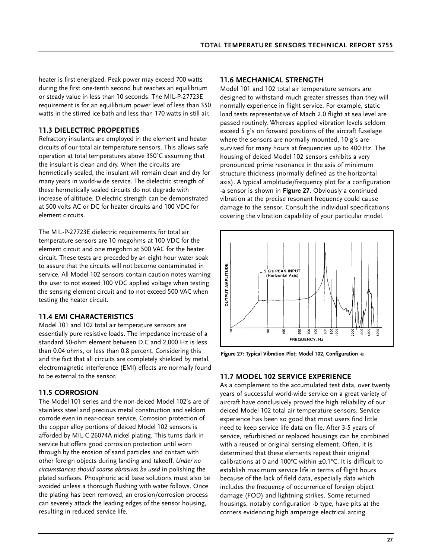heater is first energized. Peak power may exceed 700 watts during the first one-tenth second but reaches an equilibrium or steady value in less than 10 seconds. The MIL-P-27723E requirement is for an equilibrium power level of less than 350 watts in the stirred ice bath and less than 170 watts in still air.

# **11.3 DIELECTRIC PROPERTIES**

Refractory insulants are employed in the element and heater circuits of our total air temperature sensors. This allows safe operation at total temperatures above 350°C assuming that the insulant is clean and dry. When the circuits are hermetically sealed, the insulant will remain clean and dry for many years in world-wide service. The dielectric strength of these hermetically sealed circuits do not degrade with increase of altitude. Dielectric strength can be demonstrated at 500 volts AC or DC for heater circuits and 100 VDC for element circuits.

The MIL-P-27723E dielectric requirements for total air temperature sensors are 10 megohms at 100 VDC for the element circuit and one megohm at 500 VAC for the heater circuit. These tests are preceded by an eight hour water soak to assure that the circuits will not become contaminated in service. All Model 102 sensors contain caution notes warning the user to not exceed 100 VDC applied voltage when testing the sensing element circuit and to not exceed 500 VAC when testing the heater circuit.

### **11.4 EMI CHARACTERISTICS**

Model 101 and 102 total air temperature sensors are essentially pure resistive loads. The impedance increase of a standard 50-ohm element between D.C and 2,000 Hz is less than 0.04 ohms, or less than 0.8 percent. Considering this and the fact that all circuits are completely shielded by metal, electromagnetic interference (EMI) effects are normally found to be external to the sensor.

### **11.5 CORROSION**

The Model 101 series and the non-deiced Model 102's are of stainless steel and precious metal construction and seldom corrode even in near-ocean service. Corrosion protection of the copper alloy portions of deiced Model 102 sensors is afforded by MIL-C-26074A nickel plating. This turns dark in service but offers good corrosion protection until worn through by the erosion of sand particles and contact with other foreign objects during landing and takeoff. *Under no circumstances should coarse abrasives be used* in polishing the plated surfaces. Phosphoric acid base solutions must also be avoided unless a thorough flushing with water follows. Once the plating has been removed, an erosion/corrosion process can severely attack the leading edges of the sensor housing, resulting in reduced service life.

### **11.6 MECHANICAL STRENGTH**

Model 101 and 102 total air temperature sensors are designed to withstand much greater stresses than they will normally experience in flight service. For example, static load tests representative of Mach 2.0 flight at sea level are passed routinely. Whereas applied vibration levels seldom exceed 5 g's on forward positions of the aircraft fuselage where the sensors are normally mounted, 10 g's are survived for many hours at frequencies up to 400 Hz. The housing of deiced Model 102 sensors exhibits a very pronounced prime resonance in the axis of minimum structure thickness (normally defined as the horizontal axis). A typical amplitude/frequency plot for a configuration -a sensor is shown in **Figure 27**. Obviously a continued vibration at the precise resonant frequency could cause damage to the sensor. Consult the individual specifications covering the vibration capability of your particular model.



**Figure 27: Typical Vibration Plot; Model 102, Configuration -a**

### **11.7 MODEL 102 SERVICE EXPERIENCE**

As a complement to the accumulated test data, over twenty years of successful world-wide service on a great variety of aircraft have conclusively proved the high reliability of our deiced Model 102 total air temperature sensors. Service experience has been so good that most users find little need to keep service life data on file. After 3-5 years of service, refurbished or replaced housings can be combined with a reused or original sensing element. Often, it is determined that these elements repeat their original calibrations at 0 and 100°C within  $\pm$ 0.1°C. It is difficult to establish maximum service life in terms of flight hours because of the lack of field data, especially data which includes the frequency of occurrence of foreign object damage (FOD) and lightning strikes. Some returned housings, notably configuration -b type, have pits at the corners evidencing high amperage electrical arcing.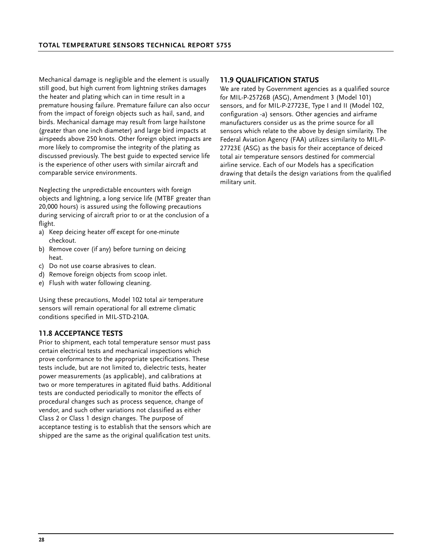Mechanical damage is negligible and the element is usually still good, but high current from lightning strikes damages the heater and plating which can in time result in a premature housing failure. Premature failure can also occur from the impact of foreign objects such as hail, sand, and birds. Mechanical damage may result from large hailstone (greater than one inch diameter) and large bird impacts at airspeeds above 250 knots. Other foreign object impacts are more likely to compromise the integrity of the plating as discussed previously. The best guide to expected service life is the experience of other users with similar aircraft and comparable service environments.

Neglecting the unpredictable encounters with foreign objects and lightning, a long service life (MTBF greater than 20,000 hours) is assured using the following precautions during servicing of aircraft prior to or at the conclusion of a flight.

- a) Keep deicing heater off except for one-minute checkout.
- b) Remove cover (if any) before turning on deicing heat.
- c) Do not use coarse abrasives to clean.
- d) Remove foreign objects from scoop inlet.
- e) Flush with water following cleaning.

Using these precautions, Model 102 total air temperature sensors will remain operational for all extreme climatic conditions specified in MIL-STD-210A.

### **11.8 ACCEPTANCE TESTS**

Prior to shipment, each total temperature sensor must pass certain electrical tests and mechanical inspections which prove conformance to the appropriate specifications. These tests include, but are not limited to, dielectric tests, heater power measurements (as applicable), and calibrations at two or more temperatures in agitated fluid baths. Additional tests are conducted periodically to monitor the effects of procedural changes such as process sequence, change of vendor, and such other variations not classified as either Class 2 or Class 1 design changes. The purpose of acceptance testing is to establish that the sensors which are shipped are the same as the original qualification test units.

#### **11.9 QUALIFICATION STATUS**

We are rated by Government agencies as a qualified source for MIL-P-25726B (ASG), Amendment 3 (Model 101) sensors, and for MIL-P-27723E, Type I and II (Model 102, configuration -a) sensors. Other agencies and airframe manufacturers consider us as the prime source for all sensors which relate to the above by design similarity. The Federal Aviation Agency (FAA) utilizes similarity to MIL-P-27723E (ASG) as the basis for their acceptance of deiced total air temperature sensors destined for commercial airline service. Each of our Models has a specification drawing that details the design variations from the qualified military unit.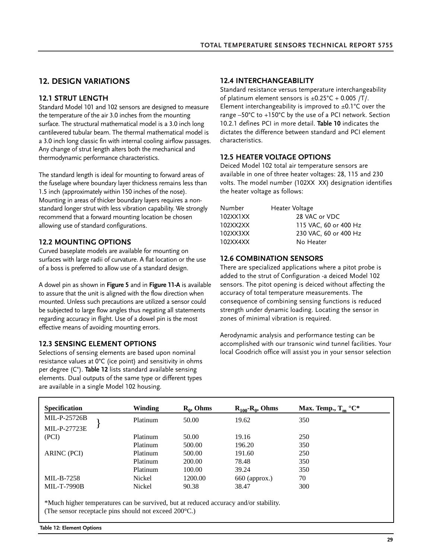# **12. DESIGN VARIATIONS**

### **12.1 STRUT LENGTH**

Standard Model 101 and 102 sensors are designed to measure the temperature of the air 3.0 inches from the mounting surface. The structural mathematical model is a 3.0 inch long cantilevered tubular beam. The thermal mathematical model is a 3.0 inch long classic fin with internal cooling airflow passages. Any change of strut length alters both the mechanical and thermodynamic performance characteristics.

The standard length is ideal for mounting to forward areas of the fuselage where boundary layer thickness remains less than 1.5 inch (approximately within 150 inches of the nose). Mounting in areas of thicker boundary layers requires a nonstandard longer strut with less vibration capability. We strongly recommend that a forward mounting location be chosen allowing use of standard configurations.

### **12.2 MOUNTING OPTIONS**

Curved baseplate models are available for mounting on surfaces with large radii of curvature. A flat location or the use of a boss is preferred to allow use of a standard design.

A dowel pin as shown in **Figure 5** and in **Figure 11-A** is available to assure that the unit is aligned with the flow direction when mounted. Unless such precautions are utilized a sensor could be subjected to large flow angles thus negating all statements regarding accuracy in flight. Use of a dowel pin is the most effective means of avoiding mounting errors.

### **12.3 SENSING ELEMENT OPTIONS**

Selections of sensing elements are based upon nominal resistance values at 0°C (ice point) and sensitivity in ohms per degree (C°). **Table 12** lists standard available sensing elements. Dual outputs of the same type or different types are available in a single Model 102 housing.

### **12.4 INTERCHANGEABILITY**

Standard resistance versus temperature interchangeability of platinum element sensors is  $\pm 0.25^{\circ}$ C + 0.005 /T/. Element interchangeability is improved to  $\pm 0.1^{\circ}$ C over the range –50°C to +150°C by the use of a PCI network. Section 10.2.1 defines PCI in more detail. **Table 10** indicates the dictates the difference between standard and PCI element characteristics.

### **12.5 HEATER VOLTAGE OPTIONS**

Deiced Model 102 total air temperature sensors are available in one of three heater voltages: 28, 115 and 230 volts. The model number (102XX XX) designation identifies the heater voltage as follows:

| Number   | Heater Voltage        |
|----------|-----------------------|
| 102XX1XX | 28 VAC or VDC         |
| 102XX2XX | 115 VAC, 60 or 400 Hz |
| 102XX3XX | 230 VAC, 60 or 400 Hz |
| 102XX4XX | No Heater             |

### **12.6 COMBINATION SENSORS**

There are specialized applications where a pitot probe is added to the strut of Configuration -a deiced Model 102 sensors. The pitot opening is deiced without affecting the accuracy of total temperature measurements. The consequence of combining sensing functions is reduced strength under dynamic loading. Locating the sensor in zones of minimal vibration is required.

Aerodynamic analysis and performance testing can be accomplished with our transonic wind tunnel facilities. Your local Goodrich office will assist you in your sensor selection

| <b>Specification</b> | Winding  | $R_0$ , Ohms | $R_{100} - R_0$ , Ohms | Max. Temp., $T_m$ °C* |
|----------------------|----------|--------------|------------------------|-----------------------|
| MIL-P-25726B         | Platinum | 50.00        | 19.62                  | 350                   |
| MIL-P-27723E         |          |              |                        |                       |
| (PCI)                | Platinum | 50.00        | 19.16                  | 250                   |
|                      | Platinum | 500.00       | 196.20                 | 350                   |
| ARINC (PCI)          | Platinum | 500.00       | 191.60                 | 250                   |
|                      | Platinum | 200.00       | 78.48                  | 350                   |
|                      | Platinum | 100.00       | 39.24                  | 350                   |
| MIL-B-7258           | Nickel   | 1200.00      | 660 (approx.)          | 70                    |
| <b>MIL-T-7990B</b>   | Nickel   | 90.38        | 38.47                  | 300                   |

\*Much higher temperatures can be survived, but at reduced accuracy and/or stability. (The sensor receptacle pins should not exceed 200°C.)